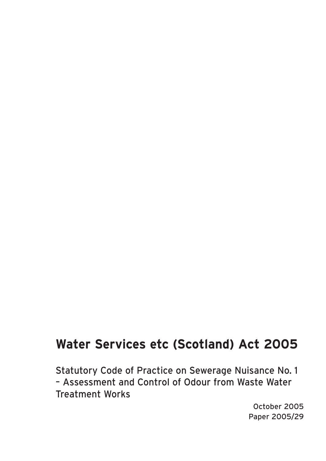## **Water Services etc (Scotland) Act 2005**

Statutory Code of Practice on Sewerage Nuisance No. 1 – Assessment and Control of Odour from Waste Water Treatment Works

> October 2005 Paper 2005/29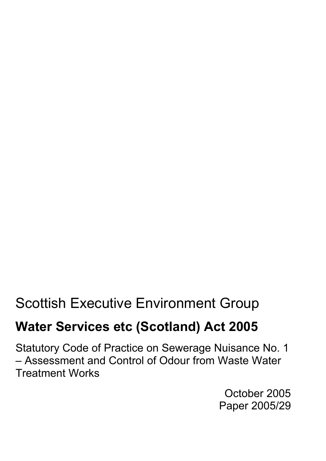# Scottish Executive Environment Group

## **Water Services etc (Scotland) Act 2005**

Statutory Code of Practice on Sewerage Nuisance No. 1 – Assessment and Control of Odour from Waste Water Treatment Works

> October 2005 Paper 2005/29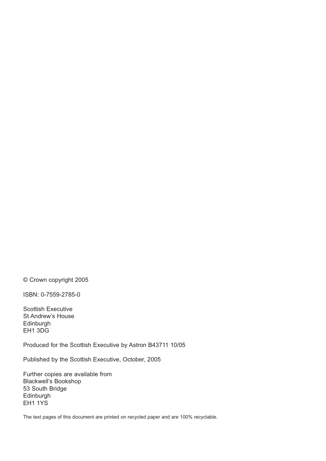© Crown copyright 2005

ISBN: 0-7559-2785-0

Scottish Executive St Andrew's House Edinburgh EH1 3DG

Produced for the Scottish Executive by Astron B43711 10/05

Published by the Scottish Executive, October, 2005

Further copies are available from Blackwell's Bookshop 53 South Bridge Edinburgh EH1 1YS

The text pages of this document are printed on recycled paper and are 100% recyclable.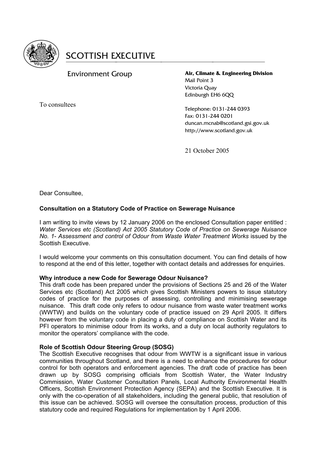

#### Environment Group

To consultees

**Air, Climate & Engineering Division** Mail Point 3 Victoria Quay Edinburgh EH6 6OO

Telephone: 0131-244 0393 Fax: 0131-244 0201 duncan.mcnab@scotland.gsi.gov.uk http://www.scotland.gov.uk

21 October 2005

Dear Consultee,

#### **Consultation on a Statutory Code of Practice on Sewerage Nuisance**

I am writing to invite views by 12 January 2006 on the enclosed Consultation paper entitled : *Water Services etc (Scotland) Act 2005 Statutory Code of Practice on Sewerage Nuisance No. 1- Assessment and control of Odour from Waste Water Treatment Works* issued by the Scottish Executive.

I would welcome your comments on this consultation document. You can find details of how to respond at the end of this letter, together with contact details and addresses for enquiries.

#### **Why introduce a new Code for Sewerage Odour Nuisance?**

This draft code has been prepared under the provisions of Sections 25 and 26 of the Water Services etc (Scotland) Act 2005 which gives Scottish Ministers powers to issue statutory codes of practice for the purposes of assessing, controlling and minimising sewerage nuisance. This draft code only refers to odour nuisance from waste water treatment works (WWTW) and builds on the voluntary code of practice issued on 29 April 2005. It differs however from the voluntary code in placing a duty of compliance on Scottish Water and its PFI operators to minimise odour from its works, and a duty on local authority regulators to monitor the operators' compliance with the code.

#### **Role of Scottish Odour Steering Group (SOSG)**

The Scottish Executive recognises that odour from WWTW is a significant issue in various communities throughout Scotland, and there is a need to enhance the procedures for odour control for both operators and enforcement agencies. The draft code of practice has been drawn up by SOSG comprising officials from Scottish Water, the Water Industry Commission, Water Customer Consultation Panels, Local Authority Environmental Health Officers, Scottish Environment Protection Agency (SEPA) and the Scottish Executive. It is only with the co-operation of all stakeholders, including the general public, that resolution of this issue can be achieved. SOSG will oversee the consultation process, production of this statutory code and required Regulations for implementation by 1 April 2006.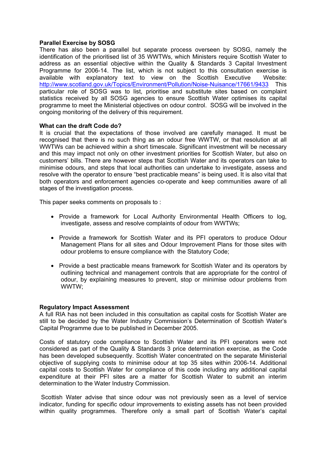#### **Parallel Exercise by SOSG**

There has also been a parallel but separate process overseen by SOSG, namely the identification of the prioritised list of 35 WWTWs, which Ministers require Scottish Water to address as an essential objective within the Quality & Standards 3 Capital Investment Programme for 2006-14. The list, which is not subject to this consultation exercise is available with explanatory text to view on the Scottish Executive Website: http://www.scotland.gov.uk/Topics/Environment/Pollution/Noise-Nuisance/17661/9433 This particular role of SOSG was to list, prioritise and substitute sites based on complaint statistics received by all SOSG agencies to ensure Scottish Water optimises its capital programme to meet the Ministerial objectives on odour control. SOSG will be involved in the ongoing monitoring of the delivery of this requirement.

#### **What can the draft Code do?**

It is crucial that the expectations of those involved are carefully managed. It must be recognised that there is no such thing as an odour free WWTW, or that resolution at all WWTWs can be achieved within a short timescale. Significant investment will be necessary and this may impact not only on other investment priorities for Scottish Water, but also on customers' bills. There are however steps that Scottish Water and its operators can take to minimise odours, and steps that local authorities can undertake to investigate, assess and resolve with the operator to ensure "best practicable means" is being used. It is also vital that both operators and enforcement agencies co-operate and keep communities aware of all stages of the investigation process.

This paper seeks comments on proposals to :

- Provide a framework for Local Authority Environmental Health Officers to log, investigate, assess and resolve complaints of odour from WWTWs;
- Provide a framework for Scottish Water and its PFI operators to produce Odour Management Plans for all sites and Odour Improvement Plans for those sites with odour problems to ensure compliance with the Statutory Code;
- Provide a best practicable means framework for Scottish Water and its operators by outlining technical and management controls that are appropriate for the control of odour, by explaining measures to prevent, stop or minimise odour problems from WWTW;

#### **Regulatory Impact Assessment**

A full RIA has not been included in this consultation as capital costs for Scottish Water are still to be decided by the Water Industry Commission's Determination of Scottish Water's Capital Programme due to be published in December 2005.

Costs of statutory code compliance to Scottish Water and its PFI operators were not considered as part of the Quality & Standards 3 price determination exercise, as the Code has been developed subsequently. Scottish Water concentrated on the separate Ministerial objective of supplying costs to minimise odour at top 35 sites within 2006-14. Additional capital costs to Scottish Water for compliance of this code including any additional capital expenditure at their PFI sites are a matter for Scottish Water to submit an interim determination to the Water Industry Commission.

 Scottish Water advise that since odour was not previously seen as a level of service indicator, funding for specific odour improvements to existing assets has not been provided within quality programmes. Therefore only a small part of Scottish Water's capital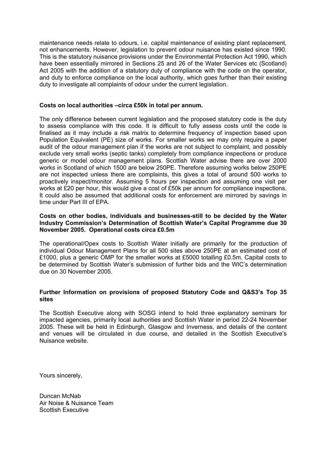maintenance needs relate to odours, i.e. capital maintenance of existing plant replacement, not enhancements. However, legislation to prevent odour nuisance has existed since 1990. This is the statutory nuisance provisions under the Environmental Protection Act 1990, which have been essentially mirrored in Sections 25 and 26 of the Water Services etc (Scotland) Act 2005 with the addition of a statutory duty of compliance with the code on the operator, and duty to enforce compliance on the local authority, which goes further than their existing duty to investigate all complaints of odour under the current legislation.

#### **Costs on local authorities –circa £50k in total per annum.**

The only difference between current legislation and the proposed statutory code is the duty to assess compliance with this code. It is difficult to fully assess costs until the code is finalised as it may include a risk matrix to determine frequency of inspection based upon Population Equivalent (PE) size of works. For smaller works we may only require a paper audit of the odour management plan if the works are not subject to complaint, and possibly exclude very small works (septic tanks) completely from compliance inspections or produce generic or model odour management plans. Scottish Water advise there are over 2000 works in Scotland of which 1500 are below 250PE. Therefore assuming works below 250PE are not inspected unless there are complaints, this gives a total of around 500 works to proactively inspect/monitor. Assuming 5 hours per inspection and assuming one visit per works at £20 per hour, this would give a cost of £50k per annum for compliance inspections. It could also be assumed that additional costs for enforcement are mirrored by savings in time under Part III of EPA.

#### **Costs on other bodies, individuals and businesses-still to be decided by the Water Industry Commission's Determination of Scottish Water's Capital Programme due 30 November 2005. Operational costs circa £0.5m**

The operational/Opex costs to Scottish Water initially are primarily for the production of individual Odour Management Plans for all 500 sites above 250PE at an estimated cost of £1000, plus a generic OMP for the smaller works at £5000 totalling £0.5m. Capital costs to be determined by Scottish Water's submission of further bids and the WIC's determination due on 30 November 2005.

#### **Further Information on provisions of proposed Statutory Code and Q&S3's Top 35 sites**

The Scottish Executive along with SOSG intend to hold three explanatory seminars for impacted agencies, primarily local authorities and Scottish Water in period 22-24 November 2005. These will be held in Edinburgh, Glasgow and Inverness, and details of the content and venues will be circulated in due course, and detailed in the Scottish Executive's Nuisance website.

Yours sincerely,

Duncan McNab Air Noise & Nuisance Team Scottish Executive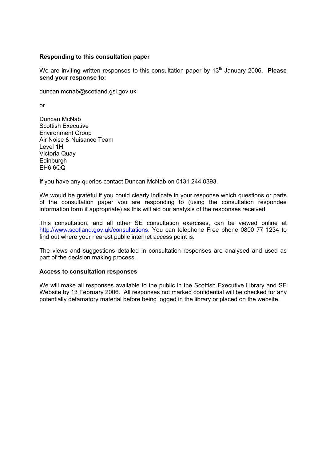#### **Responding to this consultation paper**

We are inviting written responses to this consultation paper by 13<sup>th</sup> January 2006. **Please send your response to:** 

duncan.mcnab@scotland.gsi.gov.uk

or

Duncan McNab Scottish Executive Environment Group Air Noise & Nuisance Team Level 1H Victoria Quay **Edinburgh** EH6 6QQ

If you have any queries contact Duncan McNab on 0131 244 0393.

We would be grateful if you could clearly indicate in your response which questions or parts of the consultation paper you are responding to (using the consultation respondee information form if appropriate) as this will aid our analysis of the responses received.

This consultation, and all other SE consultation exercises, can be viewed online at http://www.scotland.gov.uk/consultations. You can telephone Free phone 0800 77 1234 to find out where your nearest public internet access point is.

The views and suggestions detailed in consultation responses are analysed and used as part of the decision making process.

#### **Access to consultation responses**

We will make all responses available to the public in the Scottish Executive Library and SE Website by 13 February 2006. All responses not marked confidential will be checked for any potentially defamatory material before being logged in the library or placed on the website.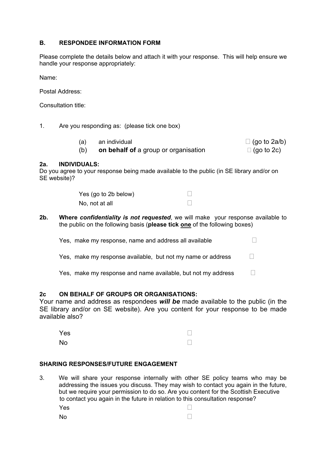#### **B. RESPONDEE INFORMATION FORM**

Please complete the details below and attach it with your response. This will help ensure we handle your response appropriately:

Name:

Postal Address:

Consultation title:

1. Are you responding as: (please tick one box)

| an individual                        | $\Box$ (go to 2a/b) |
|--------------------------------------|---------------------|
| on behalf of a group or organisation | $\Box$ (go to 2c)   |

#### **2a. INDIVIDUALS:**

Do you agree to your response being made available to the public (in SE library and/or on SE website)?

| Yes (go to 2b below) |  |
|----------------------|--|
| No, not at all       |  |

**2b. Where** *confidentiality is not requested*, we will make your response available to the public on the following basis (**please tick one** of the following boxes)

| Yes, make my response, name and address all available       |  |
|-------------------------------------------------------------|--|
| Yes, make my response available, but not my name or address |  |

Yes, make my response and name available, but not my address  $\Box$ 

#### **2c ON BEHALF OF GROUPS OR ORGANISATIONS:**

Your name and address as respondees *will be* made available to the public (in the SE library and/or on SE website). Are you content for your response to be made available also?

| Yes | П      |
|-----|--------|
| No  | $\Box$ |

#### **SHARING RESPONSES/FUTURE ENGAGEMENT**

3. We will share your response internally with other SE policy teams who may be addressing the issues you discuss. They may wish to contact you again in the future, but we require your permission to do so. Are you content for the Scottish Executive to contact you again in the future in relation to this consultation response? **Yes** □

| 1E5 |        |
|-----|--------|
| No  | $\Box$ |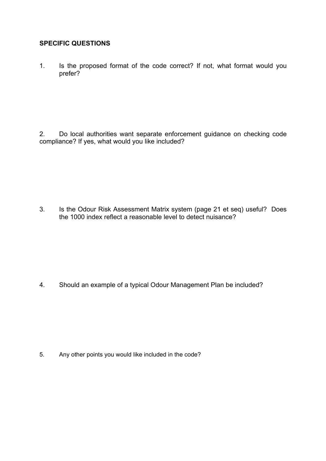#### **SPECIFIC QUESTIONS**

1. Is the proposed format of the code correct? If not, what format would you prefer?

2. Do local authorities want separate enforcement guidance on checking code compliance? If yes, what would you like included?

3. Is the Odour Risk Assessment Matrix system (page 21 et seq) useful? Does the 1000 index reflect a reasonable level to detect nuisance?

4. Should an example of a typical Odour Management Plan be included?

5. Any other points you would like included in the code?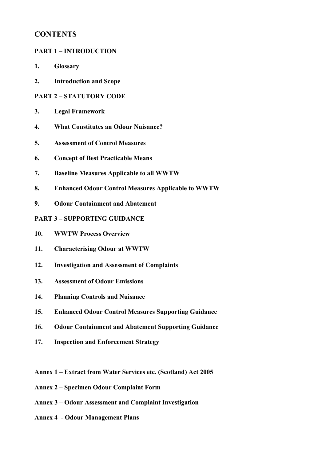## **CONTENTS**

#### **PART 1 – INTRODUCTION**

- **1. Glossary**
- **2. Introduction and Scope**

#### **PART 2 – STATUTORY CODE**

- **3. Legal Framework**
- **4. What Constitutes an Odour Nuisance?**
- **5. Assessment of Control Measures**
- **6. Concept of Best Practicable Means**
- **7. Baseline Measures Applicable to all WWTW**
- **8. Enhanced Odour Control Measures Applicable to WWTW**
- **9. Odour Containment and Abatement**

#### **PART 3 – SUPPORTING GUIDANCE**

- **10. WWTW Process Overview**
- **11. Characterising Odour at WWTW**
- **12. Investigation and Assessment of Complaints**
- **13. Assessment of Odour Emissions**
- **14. Planning Controls and Nuisance**
- **15. Enhanced Odour Control Measures Supporting Guidance**
- **16. Odour Containment and Abatement Supporting Guidance**
- **17. Inspection and Enforcement Strategy**
- **Annex 1 Extract from Water Services etc. (Scotland) Act 2005**
- **Annex 2 Specimen Odour Complaint Form**
- **Annex 3 Odour Assessment and Complaint Investigation**
- **Annex 4 Odour Management Plans**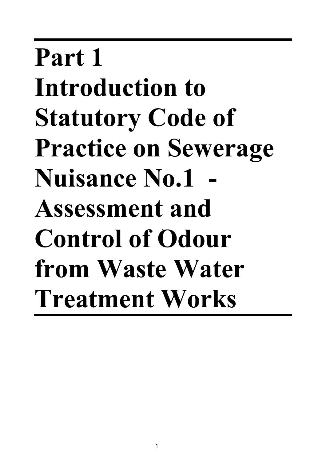# **Part 1 Introduction to Statutory Code of Practice on Sewerage**  Nuisance No.1 **Assessment and Control of Odour**  1 **from Waste Water Treatment Works**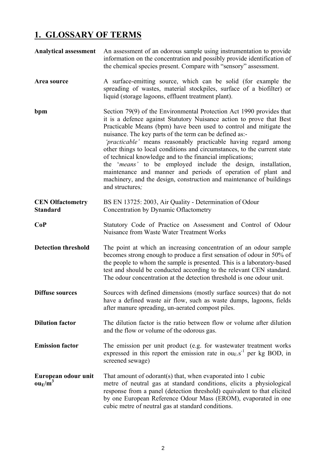## **1. GLOSSARY OF TERMS**

| <b>Analytical assessment</b>               | An assessment of an odorous sample using instrumentation to provide<br>information on the concentration and possibly provide identification of<br>the chemical species present. Compare with "sensory" assessment.                                                                                                                                                                                                                                                                                                                                                                                                                                                                                                  |
|--------------------------------------------|---------------------------------------------------------------------------------------------------------------------------------------------------------------------------------------------------------------------------------------------------------------------------------------------------------------------------------------------------------------------------------------------------------------------------------------------------------------------------------------------------------------------------------------------------------------------------------------------------------------------------------------------------------------------------------------------------------------------|
| Area source                                | A surface-emitting source, which can be solid (for example the<br>spreading of wastes, material stockpiles, surface of a biofilter) or<br>liquid (storage lagoons, effluent treatment plant).                                                                                                                                                                                                                                                                                                                                                                                                                                                                                                                       |
| bpm                                        | Section 79(9) of the Environmental Protection Act 1990 provides that<br>it is a defence against Statutory Nuisance action to prove that Best<br>Practicable Means (bpm) have been used to control and mitigate the<br>nuisance. The key parts of the term can be defined as:-<br>'practicable' means reasonably practicable having regard among<br>other things to local conditions and circumstances, to the current state<br>of technical knowledge and to the financial implications;<br>the 'means' to be employed include the design, installation,<br>maintenance and manner and periods of operation of plant and<br>machinery, and the design, construction and maintenance of buildings<br>and structures; |
| <b>CEN Olfactometry</b><br><b>Standard</b> | BS EN 13725: 2003, Air Quality - Determination of Odour<br>Concentration by Dynamic Oflactometry                                                                                                                                                                                                                                                                                                                                                                                                                                                                                                                                                                                                                    |
| CoP                                        | Statutory Code of Practice on Assessment and Control of Odour<br>Nuisance from Waste Water Treatment Works                                                                                                                                                                                                                                                                                                                                                                                                                                                                                                                                                                                                          |
| <b>Detection threshold</b>                 | The point at which an increasing concentration of an odour sample<br>becomes strong enough to produce a first sensation of odour in 50% of<br>the people to whom the sample is presented. This is a laboratory-based<br>test and should be conducted according to the relevant CEN standard.<br>The odour concentration at the detection threshold is one odour unit.                                                                                                                                                                                                                                                                                                                                               |
| <b>Diffuse sources</b>                     | Sources with defined dimensions (mostly surface sources) that do not<br>have a defined waste air flow, such as waste dumps, lagoons, fields<br>after manure spreading, un-aerated compost piles.                                                                                                                                                                                                                                                                                                                                                                                                                                                                                                                    |
| <b>Dilution factor</b>                     | The dilution factor is the ratio between flow or volume after dilution<br>and the flow or volume of the odorous gas.                                                                                                                                                                                                                                                                                                                                                                                                                                                                                                                                                                                                |
| <b>Emission factor</b>                     | The emission per unit product (e.g. for wastewater treatment works<br>expressed in this report the emission rate in $ouE$ , $s^{-1}$ per kg BOD, in<br>screened sewage)                                                                                                                                                                                                                                                                                                                                                                                                                                                                                                                                             |
| European odour unit<br>$ou_E/m^3$          | That amount of odorant(s) that, when evaporated into 1 cubic<br>metre of neutral gas at standard conditions, elicits a physiological<br>response from a panel (detection threshold) equivalent to that elicited<br>by one European Reference Odour Mass (EROM), evaporated in one<br>cubic metre of neutral gas at standard conditions.                                                                                                                                                                                                                                                                                                                                                                             |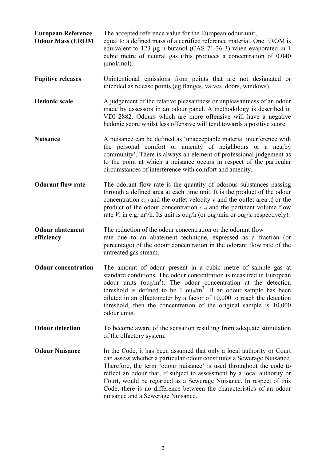- **European Reference** The accepted reference value for the European odour unit, **Odour Mass (EROM** equal to a defined mass of a certified reference material. One EROM is equivalent to 123 μg n-butanol (CAS 71-36-3) when evaporated in 1 cubic metre of neutral gas (this produces a concentration of 0.040 μmol/mol).
- **Fugitive releases** Unintentional emissions from points that are not designated or intended as release points (eg flanges, valves, doors, windows).
- **Hedonic scale** A judgement of the relative pleasantness or unpleasantness of an odour made by assessors in an odour panel. A methodology is described in VDI 2882. Odours which are more offensive will have a negative hedonic score whilst less offensive will tend towards a positive score.
- **Nuisance** A nuisance can be defined as 'unacceptable material interference with the personal comfort or amenity of neighbours or a nearby community'. There is always an element of professional judgement as to the point at which a nuisance occurs in respect of the particular circumstances of interference with comfort and amenity.
- **Odorant flow rate** The odorant flow rate is the quantity of odorous substances passing through a defined area at each time unit. It is the product of the odour concentration *cod* and the outlet velocity ν and the outlet area *A* or the product of the odour concentration *cod* and the pertinent volume flow rate *V*, in e.g.  $m^3/h$ . Its unit is ou<sub>E</sub>/h (or ou<sub>E</sub>/min or ou<sub>E</sub>/s, respectively).
- **Odour abatement** The reduction of the odour concentration or the odorant flow **efficiency** rate due to an abatement technique, expressed as a fraction (or percentage) of the odour concentration in the odorant flow rate of the untreated gas stream.
- **Odour concentration** The amount of odour present in a cubic metre of sample gas at standard conditions. The odour concentration is measured in European odour units  $(ou<sub>E</sub>/m<sup>3</sup>)$ . The odour concentration at the detection threshold is defined to be 1  $ouE/m<sup>3</sup>$ . If an odour sample has been diluted in an olfactometer by a factor of 10,000 to reach the detection threshold, then the concentration of the original sample is 10,000 odour units.
- **Odour detection** To become aware of the sensation resulting from adequate stimulation of the olfactory system.
- **Odour Nuisance** In the Code, it has been assumed that only a local authority or Court can assess whether a particular odour constitutes a Sewerage Nuisance. Therefore, the term 'odour nuisance' is used throughout the code to reflect an odour that, if subject to assessment by a local authority or Court, would be regarded as a Sewerage Nuisance. In respect of this Code, there is no difference between the characteristics of an odour nuisance and a Sewerage Nuisance.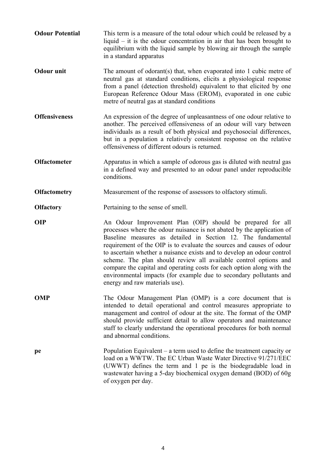- **Odour Potential** This term is a measure of the total odour which could be released by a liquid – it is the odour concentration in air that has been brought to equilibrium with the liquid sample by blowing air through the sample in a standard apparatus
- **Odour unit** The amount of odorant(s) that, when evaporated into 1 cubic metre of neutral gas at standard conditions, elicits a physiological response from a panel (detection threshold) equivalent to that elicited by one European Reference Odour Mass (EROM), evaporated in one cubic metre of neutral gas at standard conditions
- **Offensiveness** An expression of the degree of unpleasantness of one odour relative to another. The perceived offensiveness of an odour will vary between individuals as a result of both physical and psychosocial differences, but in a population a relatively consistent response on the relative offensiveness of different odours is returned.
- **Olfactometer** Apparatus in which a sample of odorous gas is diluted with neutral gas in a defined way and presented to an odour panel under reproducible conditions.
- **Olfactometry** Measurement of the response of assessors to olfactory stimuli.
- **Olfactory Pertaining to the sense of smell.**
- **OIP** An Odour Improvement Plan (OIP) should be prepared for all processes where the odour nuisance is not abated by the application of Baseline measures as detailed in Section 12. The fundamental requirement of the OIP is to evaluate the sources and causes of odour to ascertain whether a nuisance exists and to develop an odour control scheme. The plan should review all available control options and compare the capital and operating costs for each option along with the environmental impacts (for example due to secondary pollutants and energy and raw materials use).
- **OMP** The Odour Management Plan (OMP) is a core document that is intended to detail operational and control measures appropriate to management and control of odour at the site. The format of the OMP should provide sufficient detail to allow operators and maintenance staff to clearly understand the operational procedures for both normal and abnormal conditions.
- **pe** Population Equivalent a term used to define the treatment capacity or load on a WWTW. The EC Urban Waste Water Directive 91/271/EEC (UWWT) defines the term and 1 pe is the biodegradable load in wastewater having a 5-day biochemical oxygen demand (BOD) of 60g of oxygen per day.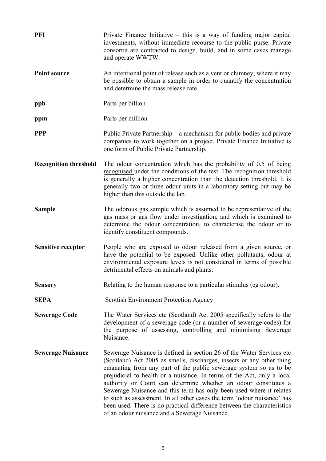**PFI** Private Finance Initiative – this is a way of funding major capital investments, without immediate recourse to the public purse. Private consortia are contracted to design, build, and in some cases manage and operate WWTW. **Point source** An intentional point of release such as a vent or chimney, where it may be possible to obtain a sample in order to quantify the concentration and determine the mass release rate **ppb** Parts per billion **ppm** Parts per million **PPP** Public Private Partnership – a mechanism for public bodies and private companies to work together on a project. Private Finance Initiative is one form of Public Private Partnership. **Recognition threshold** The odour concentration which has the probability of 0.5 of being recognised under the conditions of the test. The recognition threshold is generally a higher concentration than the detection threshold. It is generally two or three odour units in a laboratory setting but may be higher than this outside the lab. **Sample** The odorous gas sample which is assumed to be representative of the gas mass or gas flow under investigation, and which is examined to determine the odour concentration, to characterise the odour or to identify constituent compounds. **Sensitive receptor** People who are exposed to odour released from a given source, or have the potential to be exposed. Unlike other pollutants, odour at environmental exposure levels is not considered in terms of possible detrimental effects on animals and plants. **Sensory Relating to the human response to a particular stimulus (eg odour). SEPA** Scottish Environment Protection Agency **Sewerage Code** The Water Services etc (Scotland) Act 2005 specifically refers to the development of a sewerage code (or a number of sewerage codes) for the purpose of assessing, controlling and minimising Sewerage Nuisance. **Sewerage Nuisance** Sewerage Nuisance is defined in section 26 of the Water Services etc (Scotland) Act 2005 as smells, discharges, insects or any other thing emanating from any part of the public sewerage system so as to be prejudicial to health or a nuisance. In terms of the Act, only a local authority or Court can determine whether an odour constitutes a Sewerage Nuisance and this term has only been used where it relates to such as assessment. In all other cases the term 'odour nuisance' has been used. There is no practical difference between the characteristics of an odour nuisance and a Sewerage Nuisance.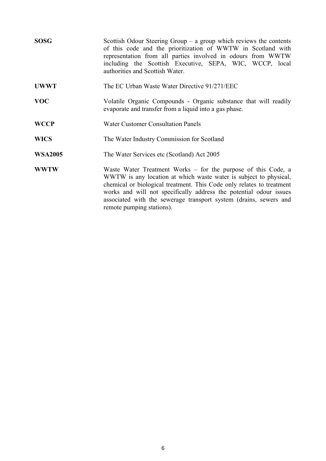| <b>SOSG</b>    | Scottish Odour Steering Group $-$ a group which reviews the contents<br>of this code and the prioritization of WWTW in Scotland with<br>representation from all parties involved in odours from WWTW<br>including the Scottish Executive, SEPA, WIC, WCCP, local<br>authorities and Scottish Water.                                                                                 |  |  |
|----------------|-------------------------------------------------------------------------------------------------------------------------------------------------------------------------------------------------------------------------------------------------------------------------------------------------------------------------------------------------------------------------------------|--|--|
| <b>UWWT</b>    | The EC Urban Waste Water Directive 91/271/EEC                                                                                                                                                                                                                                                                                                                                       |  |  |
| <b>VOC</b>     | Volatile Organic Compounds - Organic substance that will readily<br>evaporate and transfer from a liquid into a gas phase.                                                                                                                                                                                                                                                          |  |  |
| <b>WCCP</b>    | <b>Water Customer Consultation Panels</b>                                                                                                                                                                                                                                                                                                                                           |  |  |
| <b>WICS</b>    | The Water Industry Commission for Scotland                                                                                                                                                                                                                                                                                                                                          |  |  |
| <b>WSA2005</b> | The Water Services etc (Scotland) Act 2005                                                                                                                                                                                                                                                                                                                                          |  |  |
| <b>WWTW</b>    | Waste Water Treatment Works – for the purpose of this Code, a<br>WWTW is any location at which waste water is subject to physical,<br>chemical or biological treatment. This Code only relates to treatment<br>works and will not specifically address the potential odour issues<br>associated with the sewerage transport system (drains, sewers and<br>remote pumping stations). |  |  |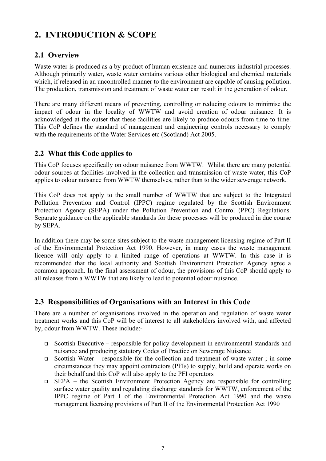## **2. INTRODUCTION & SCOPE**

## **2.1 Overview**

Waste water is produced as a by-product of human existence and numerous industrial processes. Although primarily water, waste water contains various other biological and chemical materials which, if released in an uncontrolled manner to the environment are capable of causing pollution. The production, transmission and treatment of waste water can result in the generation of odour.

There are many different means of preventing, controlling or reducing odours to minimise the impact of odour in the locality of WWTW and avoid creation of odour nuisance. It is acknowledged at the outset that these facilities are likely to produce odours from time to time. This CoP defines the standard of management and engineering controls necessary to comply with the requirements of the Water Services etc (Scotland) Act 2005.

## **2.2 What this Code applies to**

This CoP focuses specifically on odour nuisance from WWTW. Whilst there are many potential odour sources at facilities involved in the collection and transmission of waste water, this CoP applies to odour nuisance from WWTW themselves, rather than to the wider sewerage network.

This CoP does not apply to the small number of WWTW that are subject to the Integrated Pollution Prevention and Control (IPPC) regime regulated by the Scottish Environment Protection Agency (SEPA) under the Pollution Prevention and Control (PPC) Regulations. Separate guidance on the applicable standards for these processes will be produced in due course by SEPA.

In addition there may be some sites subject to the waste management licensing regime of Part II of the Environmental Protection Act 1990. However, in many cases the waste management licence will only apply to a limited range of operations at WWTW. In this case it is recommended that the local authority and Scottish Environment Protection Agency agree a common approach. In the final assessment of odour, the provisions of this CoP should apply to all releases from a WWTW that are likely to lead to potential odour nuisance.

## **2.3 Responsibilities of Organisations with an Interest in this Code**

There are a number of organisations involved in the operation and regulation of waste water treatment works and this CoP will be of interest to all stakeholders involved with, and affected by, odour from WWTW. These include:-

- $\Box$  Scottish Executive responsible for policy development in environmental standards and nuisance and producing statutory Codes of Practice on Sewerage Nuisance
- Scottish Water responsible for the collection and treatment of waste water ; in some circumstances they may appoint contractors (PFIs) to supply, build and operate works on their behalf and this CoP will also apply to the PFI operators
- SEPA the Scottish Environment Protection Agency are responsible for controlling surface water quality and regulating discharge standards for WWTW, enforcement of the IPPC regime of Part I of the Environmental Protection Act 1990 and the waste management licensing provisions of Part II of the Environmental Protection Act 1990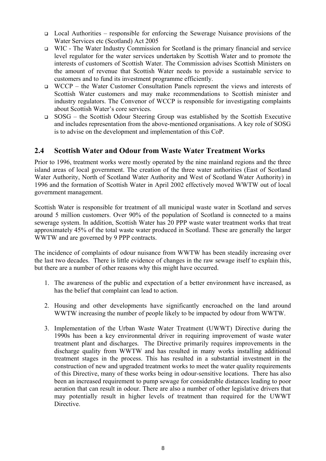- Local Authorities responsible for enforcing the Sewerage Nuisance provisions of the Water Services etc (Scotland) Act 2005
- WIC The Water Industry Commission for Scotland is the primary financial and service level regulator for the water services undertaken by Scottish Water and to promote the interests of customers of Scottish Water. The Commission advises Scottish Ministers on the amount of revenue that Scottish Water needs to provide a sustainable service to customers and to fund its investment programme efficiently.
- WCCP the Water Customer Consultation Panels represent the views and interests of Scottish Water customers and may make recommendations to Scottish minister and industry regulators. The Convenor of WCCP is responsible for investigating complaints about Scottish Water's core services.
- SOSG the Scottish Odour Steering Group was established by the Scottish Executive and includes representation from the above-mentioned organisations. A key role of SOSG is to advise on the development and implementation of this CoP.

## **2.4 Scottish Water and Odour from Waste Water Treatment Works**

Prior to 1996, treatment works were mostly operated by the nine mainland regions and the three island areas of local government. The creation of the three water authorities (East of Scotland Water Authority, North of Scotland Water Authority and West of Scotland Water Authority) in 1996 and the formation of Scottish Water in April 2002 effectively moved WWTW out of local government management.

Scottish Water is responsible for treatment of all municipal waste water in Scotland and serves around 5 million customers. Over 90% of the population of Scotland is connected to a mains sewerage system. In addition, Scottish Water has 20 PPP waste water treatment works that treat approximately 45% of the total waste water produced in Scotland. These are generally the larger WWTW and are governed by 9 PPP contracts.

The incidence of complaints of odour nuisance from WWTW has been steadily increasing over the last two decades. There is little evidence of changes in the raw sewage itself to explain this, but there are a number of other reasons why this might have occurred.

- 1. The awareness of the public and expectation of a better environment have increased, as has the belief that complaint can lead to action.
- 2. Housing and other developments have significantly encroached on the land around WWTW increasing the number of people likely to be impacted by odour from WWTW.
- 3. Implementation of the Urban Waste Water Treatment (UWWT) Directive during the 1990s has been a key environmental driver in requiring improvement of waste water treatment plant and discharges. The Directive primarily requires improvements in the discharge quality from WWTW and has resulted in many works installing additional treatment stages in the process. This has resulted in a substantial investment in the construction of new and upgraded treatment works to meet the water quality requirements of this Directive, many of these works being in odour-sensitive locations. There has also been an increased requirement to pump sewage for considerable distances leading to poor aeration that can result in odour. There are also a number of other legislative drivers that may potentially result in higher levels of treatment than required for the UWWT Directive.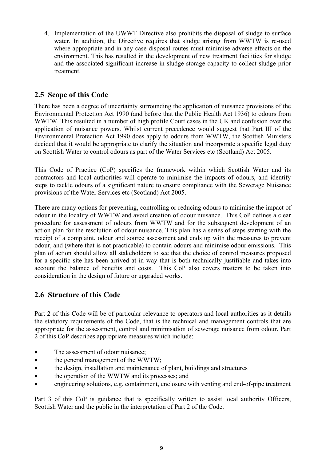4. Implementation of the UWWT Directive also prohibits the disposal of sludge to surface water. In addition, the Directive requires that sludge arising from WWTW is re-used where appropriate and in any case disposal routes must minimise adverse effects on the environment. This has resulted in the development of new treatment facilities for sludge and the associated significant increase in sludge storage capacity to collect sludge prior treatment.

## **2.5 Scope of this Code**

There has been a degree of uncertainty surrounding the application of nuisance provisions of the Environmental Protection Act 1990 (and before that the Public Health Act 1936) to odours from WWTW. This resulted in a number of high profile Court cases in the UK and confusion over the application of nuisance powers. Whilst current precedence would suggest that Part III of the Environmental Protection Act 1990 does apply to odours from WWTW, the Scottish Ministers decided that it would be appropriate to clarify the situation and incorporate a specific legal duty on Scottish Water to control odours as part of the Water Services etc (Scotland) Act 2005.

This Code of Practice (CoP) specifies the framework within which Scottish Water and its contractors and local authorities will operate to minimise the impacts of odours, and identify steps to tackle odours of a significant nature to ensure compliance with the Sewerage Nuisance provisions of the Water Services etc (Scotland) Act 2005.

There are many options for preventing, controlling or reducing odours to minimise the impact of odour in the locality of WWTW and avoid creation of odour nuisance. This CoP defines a clear procedure for assessment of odours from WWTW and for the subsequent development of an action plan for the resolution of odour nuisance. This plan has a series of steps starting with the receipt of a complaint, odour and source assessment and ends up with the measures to prevent odour, and (where that is not practicable) to contain odours and minimise odour emissions. This plan of action should allow all stakeholders to see that the choice of control measures proposed for a specific site has been arrived at in way that is both technically justifiable and takes into account the balance of benefits and costs. This CoP also covers matters to be taken into consideration in the design of future or upgraded works.

## **2.6 Structure of this Code**

Part 2 of this Code will be of particular relevance to operators and local authorities as it details the statutory requirements of the Code, that is the technical and management controls that are appropriate for the assessment, control and minimisation of sewerage nuisance from odour. Part 2 of this CoP describes appropriate measures which include:

- The assessment of odour nuisance;
- the general management of the WWTW:
- the design, installation and maintenance of plant, buildings and structures
- the operation of the WWTW and its processes; and
- engineering solutions, e.g. containment, enclosure with venting and end-of-pipe treatment

Part 3 of this CoP is guidance that is specifically written to assist local authority Officers, Scottish Water and the public in the interpretation of Part 2 of the Code.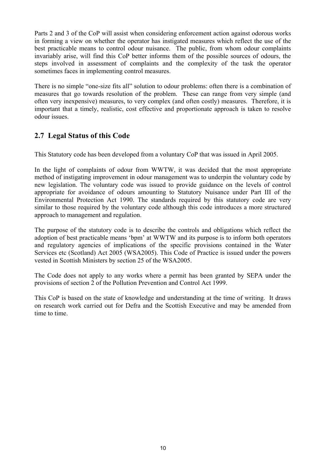Parts 2 and 3 of the CoP will assist when considering enforcement action against odorous works in forming a view on whether the operator has instigated measures which reflect the use of the best practicable means to control odour nuisance. The public, from whom odour complaints invariably arise, will find this CoP better informs them of the possible sources of odours, the steps involved in assessment of complaints and the complexity of the task the operator sometimes faces in implementing control measures.

There is no simple "one-size fits all" solution to odour problems: often there is a combination of measures that go towards resolution of the problem. These can range from very simple (and often very inexpensive) measures, to very complex (and often costly) measures. Therefore, it is important that a timely, realistic, cost effective and proportionate approach is taken to resolve odour issues.

## **2.7 Legal Status of this Code**

This Statutory code has been developed from a voluntary CoP that was issued in April 2005.

In the light of complaints of odour from WWTW, it was decided that the most appropriate method of instigating improvement in odour management was to underpin the voluntary code by new legislation. The voluntary code was issued to provide guidance on the levels of control appropriate for avoidance of odours amounting to Statutory Nuisance under Part III of the Environmental Protection Act 1990. The standards required by this statutory code are very similar to those required by the voluntary code although this code introduces a more structured approach to management and regulation.

The purpose of the statutory code is to describe the controls and obligations which reflect the adoption of best practicable means 'bpm' at WWTW and its purpose is to inform both operators and regulatory agencies of implications of the specific provisions contained in the Water Services etc (Scotland) Act 2005 (WSA2005). This Code of Practice is issued under the powers vested in Scottish Ministers by section 25 of the WSA2005.

The Code does not apply to any works where a permit has been granted by SEPA under the provisions of section 2 of the Pollution Prevention and Control Act 1999.

This CoP is based on the state of knowledge and understanding at the time of writing. It draws on research work carried out for Defra and the Scottish Executive and may be amended from time to time.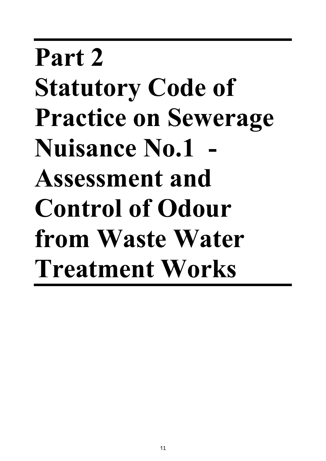# **Part 2 Statutory Code of Practice on Sewerage Nuisance No.1 - Assessment and Control of Odour from Waste Water Treatment Works**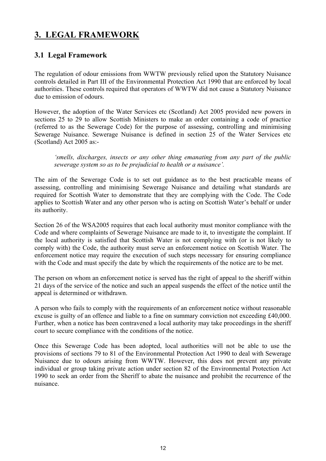## **3. LEGAL FRAMEWORK**

## **3.1 Legal Framework**

The regulation of odour emissions from WWTW previously relied upon the Statutory Nuisance controls detailed in Part III of the Environmental Protection Act 1990 that are enforced by local authorities. These controls required that operators of WWTW did not cause a Statutory Nuisance due to emission of odours.

However, the adoption of the Water Services etc (Scotland) Act 2005 provided new powers in sections 25 to 29 to allow Scottish Ministers to make an order containing a code of practice (referred to as the Sewerage Code) for the purpose of assessing, controlling and minimising Sewerage Nuisance. Sewerage Nuisance is defined in section 25 of the Water Services etc (Scotland) Act 2005 as:-

*'smells, discharges, insects or any other thing emanating from any part of the public sewerage system so as to be prejudicial to health or a nuisance'.* 

The aim of the Sewerage Code is to set out guidance as to the best practicable means of assessing, controlling and minimising Sewerage Nuisance and detailing what standards are required for Scottish Water to demonstrate that they are complying with the Code. The Code applies to Scottish Water and any other person who is acting on Scottish Water's behalf or under its authority.

Section 26 of the WSA2005 requires that each local authority must monitor compliance with the Code and where complaints of Sewerage Nuisance are made to it, to investigate the complaint. If the local authority is satisfied that Scottish Water is not complying with (or is not likely to comply with) the Code, the authority must serve an enforcement notice on Scottish Water. The enforcement notice may require the execution of such steps necessary for ensuring compliance with the Code and must specify the date by which the requirements of the notice are to be met.

The person on whom an enforcement notice is served has the right of appeal to the sheriff within 21 days of the service of the notice and such an appeal suspends the effect of the notice until the appeal is determined or withdrawn.

A person who fails to comply with the requirements of an enforcement notice without reasonable excuse is guilty of an offence and liable to a fine on summary conviction not exceeding £40,000. Further, when a notice has been contravened a local authority may take proceedings in the sheriff court to secure compliance with the conditions of the notice.

Once this Sewerage Code has been adopted, local authorities will not be able to use the provisions of sections 79 to 81 of the Environmental Protection Act 1990 to deal with Sewerage Nuisance due to odours arising from WWTW. However, this does not prevent any private individual or group taking private action under section 82 of the Environmental Protection Act 1990 to seek an order from the Sheriff to abate the nuisance and prohibit the recurrence of the nuisance.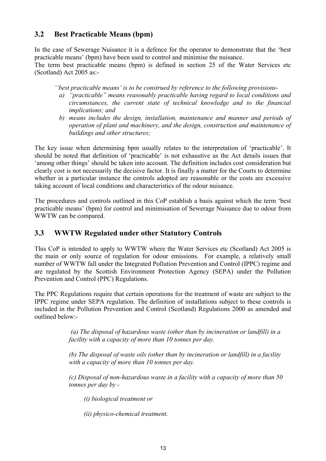## **3.2 Best Practicable Means (bpm)**

In the case of Sewerage Nuisance it is a defence for the operator to demonstrate that the 'best practicable means' (bpm) have been used to control and minimise the nuisance. The term best practicable means (bpm) is defined in section 25 of the Water Services etc (Scotland) Act 2005 as:-

- *''best practicable means' is to be construed by reference to the following provisions*
	- *a) "practicable" means reasonably practicable having regard to local conditions and circumstances, the current state of technical knowledge and to the financial implications; and*
	- *b) means includes the design, installation, maintenance and manner and periods of operation of plant and machinery, and the design, construction and maintenance of buildings and other structures;*

The key issue when determining bpm usually relates to the interpretation of 'practicable'. It should be noted that definition of 'practicable' is not exhaustive as the Act details issues that 'among other things' should be taken into account. The definition includes cost consideration but clearly cost is not necessarily the decisive factor. It is finally a matter for the Courts to determine whether in a particular instance the controls adopted are reasonable or the costs are excessive taking account of local conditions and characteristics of the odour nuisance.

The procedures and controls outlined in this CoP establish a basis against which the term 'best practicable means' (bpm) for control and minimisation of Sewerage Nuisance due to odour from WWTW can be compared.

## **3.3 WWTW Regulated under other Statutory Controls**

This CoP is intended to apply to WWTW where the Water Services etc (Scotland) Act 2005 is the main or only source of regulation for odour emissions. For example, a relatively small number of WWTW fall under the Integrated Pollution Prevention and Control (IPPC) regime and are regulated by the Scottish Environment Protection Agency (SEPA) under the Pollution Prevention and Control (PPC) Regulations.

The PPC Regulations require that certain operations for the treatment of waste are subject to the IPPC regime under SEPA regulation. The definition of installations subject to these controls is included in the Pollution Prevention and Control (Scotland) Regulations 2000 as amended and outlined below:-

> *(a) The disposal of hazardous waste (other than by incineration or landfill) in a facility with a capacity of more than 10 tonnes per day.*

> *(b) The disposal of waste oils (other than by incineration or landfill) in a facility with a capacity of more than 10 tonnes per day.*

> *(c) Disposal of non-hazardous waste in a facility with a capacity of more than 50 tonnes per day by -*

*(i) biological treatment or* 

*(ii) physico-chemical treatment.*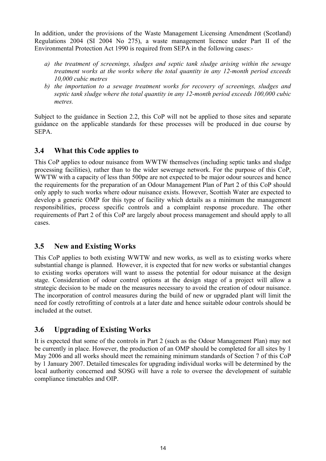In addition, under the provisions of the Waste Management Licensing Amendment (Scotland) Regulations 2004 (SI 2004 No 275), a waste management licence under Part II of the Environmental Protection Act 1990 is required from SEPA in the following cases:-

- *a) the treatment of screenings, sludges and septic tank sludge arising within the sewage treatment works at the works where the total quantity in any 12-month period exceeds 10,000 cubic metres*
- *b) the importation to a sewage treatment works for recovery of screenings, sludges and septic tank sludge where the total quantity in any 12-month period exceeds 100,000 cubic metres.*

Subject to the guidance in Section 2.2, this CoP will not be applied to those sites and separate guidance on the applicable standards for these processes will be produced in due course by SEPA.

## **3.4 What this Code applies to**

This CoP applies to odour nuisance from WWTW themselves (including septic tanks and sludge processing facilities), rather than to the wider sewerage network. For the purpose of this CoP, WWTW with a capacity of less than 500pe are not expected to be major odour sources and hence the requirements for the preparation of an Odour Management Plan of Part 2 of this CoP should only apply to such works where odour nuisance exists. However, Scottish Water are expected to develop a generic OMP for this type of facility which details as a minimum the management responsibilities, process specific controls and a complaint response procedure. The other requirements of Part 2 of this CoP are largely about process management and should apply to all cases.

## **3.5 New and Existing Works**

This CoP applies to both existing WWTW and new works, as well as to existing works where substantial change is planned. However, it is expected that for new works or substantial changes to existing works operators will want to assess the potential for odour nuisance at the design stage. Consideration of odour control options at the design stage of a project will allow a strategic decision to be made on the measures necessary to avoid the creation of odour nuisance. The incorporation of control measures during the build of new or upgraded plant will limit the need for costly retrofitting of controls at a later date and hence suitable odour controls should be included at the outset.

## **3.6 Upgrading of Existing Works**

It is expected that some of the controls in Part 2 (such as the Odour Management Plan) may not be currently in place. However, the production of an OMP should be completed for all sites by 1 May 2006 and all works should meet the remaining minimum standards of Section 7 of this CoP by 1 January 2007. Detailed timescales for upgrading individual works will be determined by the local authority concerned and SOSG will have a role to oversee the development of suitable compliance timetables and OIP.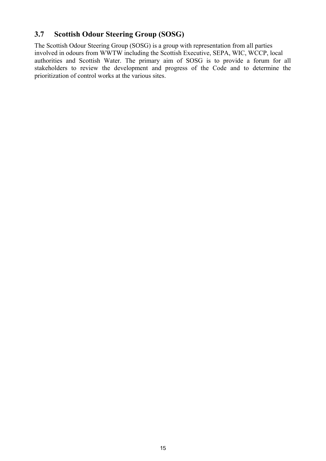## **3.7 Scottish Odour Steering Group (SOSG)**

The Scottish Odour Steering Group (SOSG) is a group with representation from all parties involved in odours from WWTW including the Scottish Executive, SEPA, WIC, WCCP, local authorities and Scottish Water. The primary aim of SOSG is to provide a forum for all stakeholders to review the development and progress of the Code and to determine the prioritization of control works at the various sites.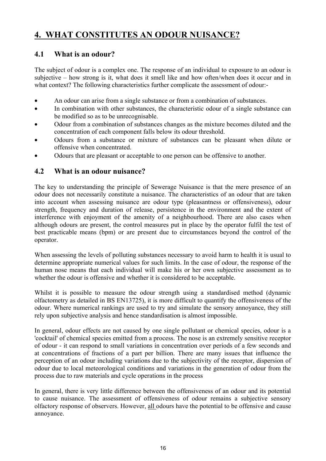## **4. WHAT CONSTITUTES AN ODOUR NUISANCE?**

## **4.1 What is an odour?**

The subject of odour is a complex one. The response of an individual to exposure to an odour is subjective – how strong is it, what does it smell like and how often/when does it occur and in what context? The following characteristics further complicate the assessment of odour:-

- An odour can arise from a single substance or from a combination of substances.
- In combination with other substances, the characteristic odour of a single substance can be modified so as to be unrecognisable.
- Odour from a combination of substances changes as the mixture becomes diluted and the concentration of each component falls below its odour threshold.
- Odours from a substance or mixture of substances can be pleasant when dilute or offensive when concentrated.
- Odours that are pleasant or acceptable to one person can be offensive to another.

#### **4.2 What is an odour nuisance?**

The key to understanding the principle of Sewerage Nuisance is that the mere presence of an odour does not necessarily constitute a nuisance. The characteristics of an odour that are taken into account when assessing nuisance are odour type (pleasantness or offensiveness), odour strength, frequency and duration of release, persistence in the environment and the extent of interference with enjoyment of the amenity of a neighbourhood. There are also cases when although odours are present, the control measures put in place by the operator fulfil the test of best practicable means (bpm) or are present due to circumstances beyond the control of the operator.

When assessing the levels of polluting substances necessary to avoid harm to health it is usual to determine appropriate numerical values for such limits. In the case of odour, the response of the human nose means that each individual will make his or her own subjective assessment as to whether the odour is offensive and whether it is considered to be acceptable.

Whilst it is possible to measure the odour strength using a standardised method (dynamic olfactometry as detailed in BS EN13725), it is more difficult to quantify the offensiveness of the odour. Where numerical rankings are used to try and simulate the sensory annoyance, they still rely upon subjective analysis and hence standardisation is almost impossible.

In general, odour effects are not caused by one single pollutant or chemical species, odour is a 'cocktail' of chemical species emitted from a process. The nose is an extremely sensitive receptor of odour - it can respond to small variations in concentration over periods of a few seconds and at concentrations of fractions of a part per billion. There are many issues that influence the perception of an odour including variations due to the subjectivity of the receptor, dispersion of odour due to local meteorological conditions and variations in the generation of odour from the process due to raw materials and cycle operations in the process

In general, there is very little difference between the offensiveness of an odour and its potential to cause nuisance. The assessment of offensiveness of odour remains a subjective sensory olfactory response of observers. However, all odours have the potential to be offensive and cause annoyance.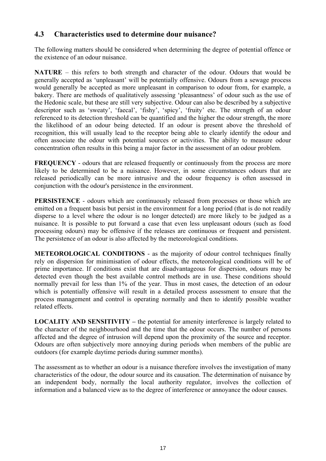## **4.3 Characteristics used to determine dour nuisance?**

The following matters should be considered when determining the degree of potential offence or the existence of an odour nuisance.

**NATURE** – this refers to both strength and character of the odour. Odours that would be generally accepted as 'unpleasant' will be potentially offensive. Odours from a sewage process would generally be accepted as more unpleasant in comparison to odour from, for example, a bakery. There are methods of qualitatively assessing 'pleasantness' of odour such as the use of the Hedonic scale, but these are still very subjective. Odour can also be described by a subjective descriptor such as 'sweaty', 'faecal', 'fishy', 'spicy', 'fruity' etc. The strength of an odour referenced to its detection threshold can be quantified and the higher the odour strength, the more the likelihood of an odour being detected. If an odour is present above the threshold of recognition, this will usually lead to the receptor being able to clearly identify the odour and often associate the odour with potential sources or activities. The ability to measure odour concentration often results in this being a major factor in the assessment of an odour problem.

**FREQUENCY** - odours that are released frequently or continuously from the process are more likely to be determined to be a nuisance. However, in some circumstances odours that are released periodically can be more intrusive and the odour frequency is often assessed in conjunction with the odour's persistence in the environment.

**PERSISTENCE** - odours which are continuously released from processes or those which are emitted on a frequent basis but persist in the environment for a long period (that is do not readily disperse to a level where the odour is no longer detected) are more likely to be judged as a nuisance. It is possible to put forward a case that even less unpleasant odours (such as food processing odours) may be offensive if the releases are continuous or frequent and persistent. The persistence of an odour is also affected by the meteorological conditions.

**METEOROLOGICAL CONDITIONS** - as the majority of odour control techniques finally rely on dispersion for minimisation of odour effects, the meteorological conditions will be of prime importance. If conditions exist that are disadvantageous for dispersion, odours may be detected even though the best available control methods are in use. These conditions should normally prevail for less than 1% of the year. Thus in most cases, the detection of an odour which is potentially offensive will result in a detailed process assessment to ensure that the process management and control is operating normally and then to identify possible weather related effects.

**LOCALITY AND SENSITIVITY –** the potential for amenity interference is largely related to the character of the neighbourhood and the time that the odour occurs. The number of persons affected and the degree of intrusion will depend upon the proximity of the source and receptor. Odours are often subjectively more annoying during periods when members of the public are outdoors (for example daytime periods during summer months).

The assessment as to whether an odour is a nuisance therefore involves the investigation of many characteristics of the odour, the odour source and its causation. The determination of nuisance by an independent body, normally the local authority regulator, involves the collection of information and a balanced view as to the degree of interference or annoyance the odour causes.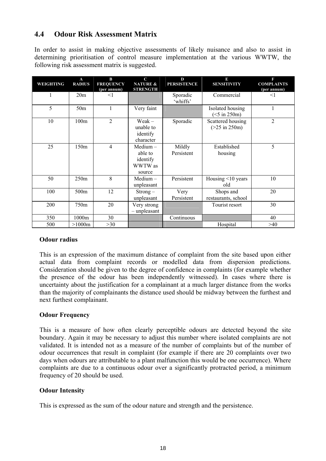## **4.4 Odour Risk Assessment Matrix**

In order to assist in making objective assessments of likely nuisance and also to assist in determining prioritisation of control measure implementation at the various WWTW, the following risk assessment matrix is suggested.

| WEIGHTING | $\mathbf{A}$<br><b>RADIUS</b> | $\bf{B}$<br><b>FREQUENCY</b><br>(per annum) | $\mathbf C$<br><b>NATURE &amp;</b><br><b>STRENGTH</b>  | D<br><b>PERSISTENCE</b> | B<br><b>SENSITIVITY</b>                               | F<br><b>COMPLAINTS</b><br>(per annum) |
|-----------|-------------------------------|---------------------------------------------|--------------------------------------------------------|-------------------------|-------------------------------------------------------|---------------------------------------|
| 1         | 20m                           | $\leq$ 1                                    |                                                        | Sporadic<br>'whiffs'    | Commercial                                            | $\leq$ 1                              |
| 5         | 50 <sub>m</sub>               | 1                                           | Very faint                                             |                         | Isolated housing<br>$(<5$ in 250m)                    | 1                                     |
| 10        | 100m                          | $\overline{2}$                              | $Weak -$<br>unable to<br>identify<br>character         | Sporadic                | Scattered housing<br>$(>25 \text{ in } 250 \text{m})$ | $\overline{c}$                        |
| 25        | 150m                          | $\overline{4}$                              | $Median -$<br>able to<br>identify<br>WWTW as<br>source | Mildly<br>Persistent    | Established<br>housing                                | 5                                     |
| 50        | 250m                          | 8                                           | $Median -$<br>unpleasant                               | Persistent              | Housing <10 years<br>old                              | 10                                    |
| 100       | 500m                          | 12                                          | $Strong -$<br>unpleasant                               | Very<br>Persistent      | Shops and<br>restaurants, school                      | 20                                    |
| 200       | 750m                          | 20                                          | Very strong<br>$-$ unpleasant                          |                         | Tourist resort                                        | 30                                    |
| 350       | 1000m                         | 30                                          |                                                        | Continuous              |                                                       | 40                                    |
| 500       | >1000m                        | >30                                         |                                                        |                         | Hospital                                              | >40                                   |

#### **Odour radius**

This is an expression of the maximum distance of complaint from the site based upon either actual data from complaint records or modelled data from dispersion predictions. Consideration should be given to the degree of confidence in complaints (for example whether the presence of the odour has been independently witnessed). In cases where there is uncertainty about the justification for a complainant at a much larger distance from the works than the majority of complainants the distance used should be midway between the furthest and next furthest complainant.

#### **Odour Frequency**

This is a measure of how often clearly perceptible odours are detected beyond the site boundary. Again it may be necessary to adjust this number where isolated complaints are not validated. It is intended not as a measure of the number of complaints but of the number of odour occurrences that result in complaint (for example if there are 20 complaints over two days when odours are attributable to a plant malfunction this would be one occurrence). Where complaints are due to a continuous odour over a significantly protracted period, a minimum frequency of 20 should be used.

#### **Odour Intensity**

This is expressed as the sum of the odour nature and strength and the persistence.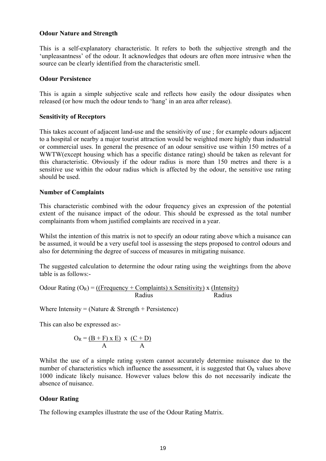#### **Odour Nature and Strength**

This is a self-explanatory characteristic. It refers to both the subjective strength and the 'unpleasantness' of the odour. It acknowledges that odours are often more intrusive when the source can be clearly identified from the characteristic smell.

#### **Odour Persistence**

This is again a simple subjective scale and reflects how easily the odour dissipates when released (or how much the odour tends to 'hang' in an area after release).

#### **Sensitivity of Receptors**

This takes account of adjacent land-use and the sensitivity of use ; for example odours adjacent to a hospital or nearby a major tourist attraction would be weighted more highly than industrial or commercial uses. In general the presence of an odour sensitive use within 150 metres of a WWTW(except housing which has a specific distance rating) should be taken as relevant for this characteristic. Obviously if the odour radius is more than 150 metres and there is a sensitive use within the odour radius which is affected by the odour, the sensitive use rating should be used.

#### **Number of Complaints**

This characteristic combined with the odour frequency gives an expression of the potential extent of the nuisance impact of the odour. This should be expressed as the total number complainants from whom justified complaints are received in a year.

Whilst the intention of this matrix is not to specify an odour rating above which a nuisance can be assumed, it would be a very useful tool is assessing the steps proposed to control odours and also for determining the degree of success of measures in mitigating nuisance.

The suggested calculation to determine the odour rating using the weightings from the above table is as follows:-

Odour Rating  $(O_R) = ($ (Frequency + Complaints) x Sensitivity) x (Intensity) Radius Radius Radius

Where Intensity = (Nature  $&$  Strength + Persistence)

This can also be expressed as:-

$$
O_R = \frac{(B + F) \times E}{A} \times \frac{(C + D)}{A}
$$

Whilst the use of a simple rating system cannot accurately determine nuisance due to the number of characteristics which influence the assessment, it is suggested that  $O_R$  values above 1000 indicate likely nuisance. However values below this do not necessarily indicate the absence of nuisance.

#### **Odour Rating**

The following examples illustrate the use of the Odour Rating Matrix.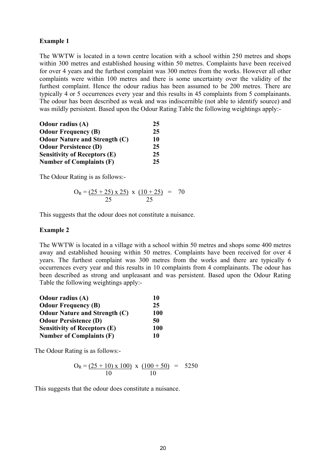#### **Example 1**

The WWTW is located in a town centre location with a school within 250 metres and shops within 300 metres and established housing within 50 metres. Complaints have been received for over 4 years and the furthest complaint was 300 metres from the works. However all other complaints were within 100 metres and there is some uncertainty over the validity of the furthest complaint. Hence the odour radius has been assumed to be 200 metres. There are typically 4 or 5 occurrences every year and this results in 45 complaints from 5 complainants. The odour has been described as weak and was indiscernible (not able to identify source) and was mildly persistent. Based upon the Odour Rating Table the following weightings apply:-

| <b>Odour radius (A)</b>              | 25 |
|--------------------------------------|----|
| <b>Odour Frequency (B)</b>           | 25 |
| <b>Odour Nature and Strength (C)</b> | 10 |
| <b>Odour Persistence (D)</b>         | 25 |
| <b>Sensitivity of Receptors (E)</b>  | 25 |
| <b>Number of Complaints (F)</b>      | 25 |

The Odour Rating is as follows:-

$$
O_R = \frac{(25 + 25) \times 25}{25} \times \frac{(10 + 25)}{25} = 70
$$

This suggests that the odour does not constitute a nuisance.

#### **Example 2**

The WWTW is located in a village with a school within 50 metres and shops some 400 metres away and established housing within 50 metres. Complaints have been received for over 4 years. The furthest complaint was 300 metres from the works and there are typically 6 occurrences every year and this results in 10 complaints from 4 complainants. The odour has been described as strong and unpleasant and was persistent. Based upon the Odour Rating Table the following weightings apply:-

| <b>Odour radius (A)</b>              | 10         |
|--------------------------------------|------------|
| <b>Odour Frequency (B)</b>           | 25         |
| <b>Odour Nature and Strength (C)</b> | <b>100</b> |
| <b>Odour Persistence (D)</b>         | 50         |
| <b>Sensitivity of Receptors (E)</b>  | <b>100</b> |
| <b>Number of Complaints (F)</b>      | 10         |

The Odour Rating is as follows:-

$$
O_R = \underbrace{(25+10) \times 100}_{10} \times \underbrace{(100+50)}_{10} = 5250
$$

This suggests that the odour does constitute a nuisance.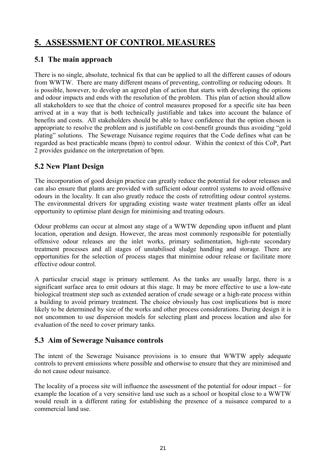## **5. ASSESSMENT OF CONTROL MEASURES**

## **5.1 The main approach**

There is no single, absolute, technical fix that can be applied to all the different causes of odours from WWTW. There are many different means of preventing, controlling or reducing odours. It is possible, however, to develop an agreed plan of action that starts with developing the options and odour impacts and ends with the resolution of the problem. This plan of action should allow all stakeholders to see that the choice of control measures proposed for a specific site has been arrived at in a way that is both technically justifiable and takes into account the balance of benefits and costs. All stakeholders should be able to have confidence that the option chosen is appropriate to resolve the problem and is justifiable on cost-benefit grounds thus avoiding "gold plating" solutions. The Sewerage Nuisance regime requires that the Code defines what can be regarded as best practicable means (bpm) to control odour. Within the context of this CoP, Part 2 provides guidance on the interpretation of bpm.

## **5.2 New Plant Design**

The incorporation of good design practice can greatly reduce the potential for odour releases and can also ensure that plants are provided with sufficient odour control systems to avoid offensive odours in the locality. It can also greatly reduce the costs of retrofitting odour control systems. The environmental drivers for upgrading existing waste water treatment plants offer an ideal opportunity to optimise plant design for minimising and treating odours.

Odour problems can occur at almost any stage of a WWTW depending upon influent and plant location, operation and design. However, the areas most commonly responsible for potentially offensive odour releases are the inlet works, primary sedimentation, high-rate secondary treatment processes and all stages of unstabilised sludge handling and storage. There are opportunities for the selection of process stages that minimise odour release or facilitate more effective odour control.

A particular crucial stage is primary settlement. As the tanks are usually large, there is a significant surface area to emit odours at this stage. It may be more effective to use a low-rate biological treatment step such as extended aeration of crude sewage or a high-rate process within a building to avoid primary treatment. The choice obviously has cost implications but is more likely to be determined by size of the works and other process considerations. During design it is not uncommon to use dispersion models for selecting plant and process location and also for evaluation of the need to cover primary tanks.

## **5.3 Aim of Sewerage Nuisance controls**

The intent of the Sewerage Nuisance provisions is to ensure that WWTW apply adequate controls to prevent emissions where possible and otherwise to ensure that they are minimised and do not cause odour nuisance.

The locality of a process site will influence the assessment of the potential for odour impact – for example the location of a very sensitive land use such as a school or hospital close to a WWTW would result in a different rating for establishing the presence of a nuisance compared to a commercial land use.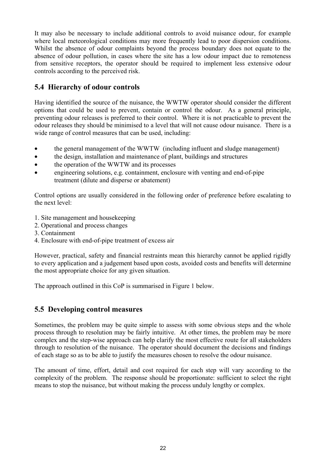It may also be necessary to include additional controls to avoid nuisance odour, for example where local meteorological conditions may more frequently lead to poor dispersion conditions. Whilst the absence of odour complaints beyond the process boundary does not equate to the absence of odour pollution, in cases where the site has a low odour impact due to remoteness from sensitive receptors, the operator should be required to implement less extensive odour controls according to the perceived risk.

## **5.4 Hierarchy of odour controls**

Having identified the source of the nuisance, the WWTW operator should consider the different options that could be used to prevent, contain or control the odour. As a general principle, preventing odour releases is preferred to their control. Where it is not practicable to prevent the odour releases they should be minimised to a level that will not cause odour nuisance. There is a wide range of control measures that can be used, including:

- the general management of the WWTW (including influent and sludge management)
- the design, installation and maintenance of plant, buildings and structures
- the operation of the WWTW and its processes
- engineering solutions, e.g. containment, enclosure with venting and end-of-pipe treatment (dilute and disperse or abatement)

Control options are usually considered in the following order of preference before escalating to the next level:

- 1. Site management and housekeeping
- 2. Operational and process changes
- 3. Containment
- 4. Enclosure with end-of-pipe treatment of excess air

However, practical, safety and financial restraints mean this hierarchy cannot be applied rigidly to every application and a judgement based upon costs, avoided costs and benefits will determine the most appropriate choice for any given situation.

The approach outlined in this CoP is summarised in Figure 1 below.

## **5.5 Developing control measures**

Sometimes, the problem may be quite simple to assess with some obvious steps and the whole process through to resolution may be fairly intuitive. At other times, the problem may be more complex and the step-wise approach can help clarify the most effective route for all stakeholders through to resolution of the nuisance. The operator should document the decisions and findings of each stage so as to be able to justify the measures chosen to resolve the odour nuisance.

The amount of time, effort, detail and cost required for each step will vary according to the complexity of the problem. The response should be proportionate: sufficient to select the right means to stop the nuisance, but without making the process unduly lengthy or complex.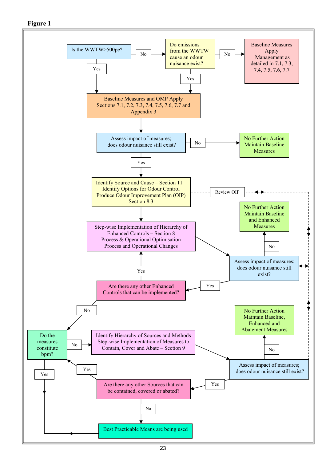**Figure 1** 

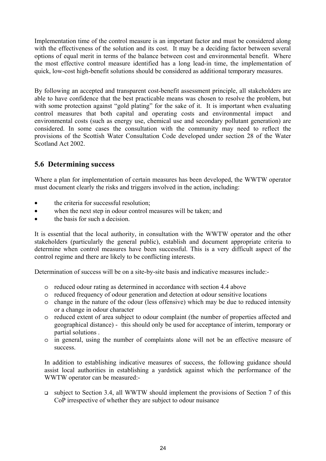Implementation time of the control measure is an important factor and must be considered along with the effectiveness of the solution and its cost. It may be a deciding factor between several options of equal merit in terms of the balance between cost and environmental benefit. Where the most effective control measure identified has a long lead-in time, the implementation of quick, low-cost high-benefit solutions should be considered as additional temporary measures.

By following an accepted and transparent cost-benefit assessment principle, all stakeholders are able to have confidence that the best practicable means was chosen to resolve the problem, but with some protection against "gold plating" for the sake of it. It is important when evaluating control measures that both capital and operating costs and environmental impact and environmental costs (such as energy use, chemical use and secondary pollutant generation) are considered. In some cases the consultation with the community may need to reflect the provisions of the Scottish Water Consultation Code developed under section 28 of the Water Scotland Act 2002.

## **5.6 Determining success**

Where a plan for implementation of certain measures has been developed, the WWTW operator must document clearly the risks and triggers involved in the action, including:

- the criteria for successful resolution;
- when the next step in odour control measures will be taken; and
- the basis for such a decision.

It is essential that the local authority, in consultation with the WWTW operator and the other stakeholders (particularly the general public), establish and document appropriate criteria to determine when control measures have been successful. This is a very difficult aspect of the control regime and there are likely to be conflicting interests.

Determination of success will be on a site-by-site basis and indicative measures include:-

- o reduced odour rating as determined in accordance with section 4.4 above
- o reduced frequency of odour generation and detection at odour sensitive locations
- o change in the nature of the odour (less offensive) which may be due to reduced intensity or a change in odour character
- o reduced extent of area subject to odour complaint (the number of properties affected and geographical distance) - this should only be used for acceptance of interim, temporary or partial solutions .
- o in general, using the number of complaints alone will not be an effective measure of success.

In addition to establishing indicative measures of success, the following guidance should assist local authorities in establishing a yardstick against which the performance of the WWTW operator can be measured:-

 $\Box$  subject to Section 3.4, all WWTW should implement the provisions of Section 7 of this CoP irrespective of whether they are subject to odour nuisance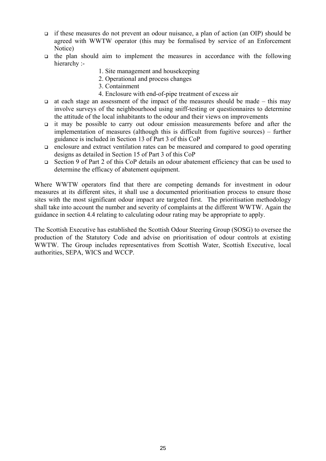- if these measures do not prevent an odour nuisance, a plan of action (an OIP) should be agreed with WWTW operator (this may be formalised by service of an Enforcement Notice)
- $\Box$  the plan should aim to implement the measures in accordance with the following hierarchy :-
	- 1. Site management and housekeeping
	- 2. Operational and process changes
	- 3. Containment
	- 4. Enclosure with end-of-pipe treatment of excess air
- $\Box$  at each stage an assessment of the impact of the measures should be made this may involve surveys of the neighbourhood using sniff-testing or questionnaires to determine the attitude of the local inhabitants to the odour and their views on improvements
- it may be possible to carry out odour emission measurements before and after the implementation of measures (although this is difficult from fugitive sources) – further guidance is included in Section 13 of Part 3 of this CoP
- enclosure and extract ventilation rates can be measured and compared to good operating designs as detailed in Section 15 of Part 3 of this CoP
- Section 9 of Part 2 of this CoP details an odour abatement efficiency that can be used to determine the efficacy of abatement equipment.

Where WWTW operators find that there are competing demands for investment in odour measures at its different sites, it shall use a documented prioritisation process to ensure those sites with the most significant odour impact are targeted first. The prioritisation methodology shall take into account the number and severity of complaints at the different WWTW. Again the guidance in section 4.4 relating to calculating odour rating may be appropriate to apply.

The Scottish Executive has established the Scottish Odour Steering Group (SOSG) to oversee the production of the Statutory Code and advise on prioritisation of odour controls at existing WWTW. The Group includes representatives from Scottish Water, Scottish Executive, local authorities, SEPA, WICS and WCCP.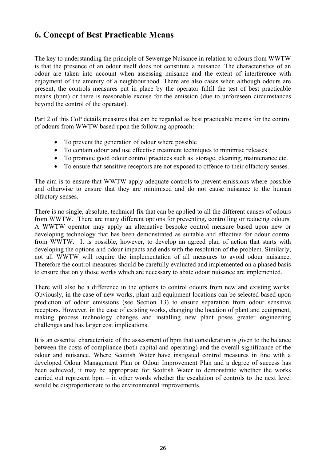## **6. Concept of Best Practicable Means**

The key to understanding the principle of Sewerage Nuisance in relation to odours from WWTW is that the presence of an odour itself does not constitute a nuisance. The characteristics of an odour are taken into account when assessing nuisance and the extent of interference with enjoyment of the amenity of a neighbourhood. There are also cases when although odours are present, the controls measures put in place by the operator fulfil the test of best practicable means (bpm) or there is reasonable excuse for the emission (due to unforeseen circumstances beyond the control of the operator).

Part 2 of this CoP details measures that can be regarded as best practicable means for the control of odours from WWTW based upon the following approach:-

- To prevent the generation of odour where possible
- To contain odour and use effective treatment techniques to minimise releases
- To promote good odour control practices such as storage, cleaning, maintenance etc.
- To ensure that sensitive receptors are not exposed to offence to their olfactory senses.

The aim is to ensure that WWTW apply adequate controls to prevent emissions where possible and otherwise to ensure that they are minimised and do not cause nuisance to the human olfactory senses.

There is no single, absolute, technical fix that can be applied to all the different causes of odours from WWTW. There are many different options for preventing, controlling or reducing odours. A WWTW operator may apply an alternative bespoke control measure based upon new or developing technology that has been demonstrated as suitable and effective for odour control from WWTW. It is possible, however, to develop an agreed plan of action that starts with developing the options and odour impacts and ends with the resolution of the problem. Similarly, not all WWTW will require the implementation of all measures to avoid odour nuisance. Therefore the control measures should be carefully evaluated and implemented on a phased basis to ensure that only those works which are necessary to abate odour nuisance are implemented.

There will also be a difference in the options to control odours from new and existing works. Obviously, in the case of new works, plant and equipment locations can be selected based upon prediction of odour emissions (see Section 13) to ensure separation from odour sensitive receptors. However, in the case of existing works, changing the location of plant and equipment, making process technology changes and installing new plant poses greater engineering challenges and has larger cost implications.

It is an essential characteristic of the assessment of bpm that consideration is given to the balance between the costs of compliance (both capital and operating) and the overall significance of the odour and nuisance. Where Scottish Water have instigated control measures in line with a developed Odour Management Plan or Odour Improvement Plan and a degree of success has been achieved, it may be appropriate for Scottish Water to demonstrate whether the works carried out represent bpm – in other words whether the escalation of controls to the next level would be disproportionate to the environmental improvements.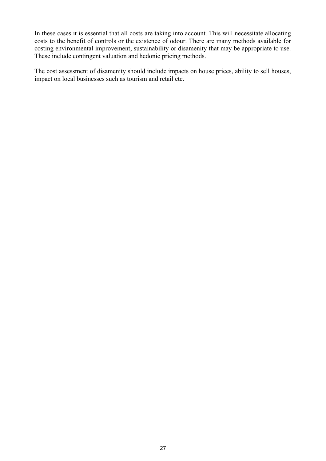In these cases it is essential that all costs are taking into account. This will necessitate allocating costs to the benefit of controls or the existence of odour. There are many methods available for costing environmental improvement, sustainability or disamenity that may be appropriate to use. These include contingent valuation and hedonic pricing methods.

The cost assessment of disamenity should include impacts on house prices, ability to sell houses, impact on local businesses such as tourism and retail etc.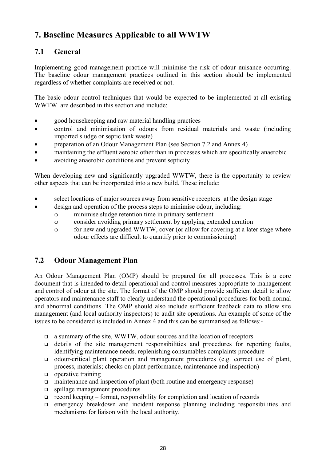# **7. Baseline Measures Applicable to all WWTW**

## **7.1 General**

Implementing good management practice will minimise the risk of odour nuisance occurring. The baseline odour management practices outlined in this section should be implemented regardless of whether complaints are received or not.

The basic odour control techniques that would be expected to be implemented at all existing WWTW are described in this section and include:

- good housekeeping and raw material handling practices
- control and minimisation of odours from residual materials and waste (including imported sludge or septic tank waste)
- preparation of an Odour Management Plan (see Section 7.2 and Annex 4)
- maintaining the effluent aerobic other than in processes which are specifically anaerobic
- avoiding anaerobic conditions and prevent septicity

When developing new and significantly upgraded WWTW, there is the opportunity to review other aspects that can be incorporated into a new build. These include:

- select locations of major sources away from sensitive receptors at the design stage
- design and operation of the process steps to minimise odour, including:
	- o minimise sludge retention time in primary settlement
	- o consider avoiding primary settlement by applying extended aeration
	- o for new and upgraded WWTW, cover (or allow for covering at a later stage where odour effects are difficult to quantify prior to commissioning)

## **7.2 Odour Management Plan**

An Odour Management Plan (OMP) should be prepared for all processes. This is a core document that is intended to detail operational and control measures appropriate to management and control of odour at the site. The format of the OMP should provide sufficient detail to allow operators and maintenance staff to clearly understand the operational procedures for both normal and abnormal conditions. The OMP should also include sufficient feedback data to allow site management (and local authority inspectors) to audit site operations. An example of some of the issues to be considered is included in Annex 4 and this can be summarised as follows:-

- a summary of the site, WWTW, odour sources and the location of receptors
- $\Box$  details of the site management responsibilities and procedures for reporting faults, identifying maintenance needs, replenishing consumables complaints procedure
- odour-critical plant operation and management procedures (e.g. correct use of plant, process, materials; checks on plant performance, maintenance and inspection)
- $\Box$  operative training
- maintenance and inspection of plant (both routine and emergency response)
- spillage management procedures
- $\Box$  record keeping format, responsibility for completion and location of records
- emergency breakdown and incident response planning including responsibilities and mechanisms for liaison with the local authority.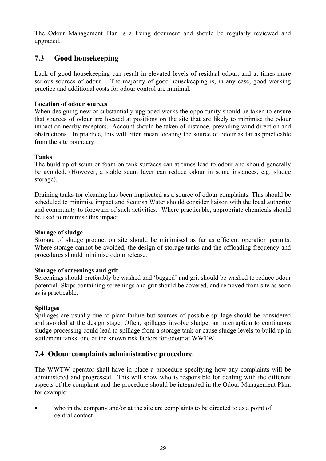The Odour Management Plan is a living document and should be regularly reviewed and upgraded.

#### **7.3 Good housekeeping**

Lack of good housekeeping can result in elevated levels of residual odour, and at times more serious sources of odour. The majority of good housekeeping is, in any case, good working practice and additional costs for odour control are minimal.

#### **Location of odour sources**

When designing new or substantially upgraded works the opportunity should be taken to ensure that sources of odour are located at positions on the site that are likely to minimise the odour impact on nearby receptors. Account should be taken of distance, prevailing wind direction and obstructions. In practice, this will often mean locating the source of odour as far as practicable from the site boundary.

#### **Tanks**

The build up of scum or foam on tank surfaces can at times lead to odour and should generally be avoided. (However, a stable scum layer can reduce odour in some instances, e.g. sludge storage).

Draining tanks for cleaning has been implicated as a source of odour complaints. This should be scheduled to minimise impact and Scottish Water should consider liaison with the local authority and community to forewarn of such activities. Where practicable, appropriate chemicals should be used to minimise this impact.

#### **Storage of sludge**

Storage of sludge product on site should be minimised as far as efficient operation permits. Where storage cannot be avoided, the design of storage tanks and the offloading frequency and procedures should minimise odour release.

#### **Storage of screenings and grit**

Screenings should preferably be washed and 'bagged' and grit should be washed to reduce odour potential. Skips containing screenings and grit should be covered, and removed from site as soon as is practicable.

#### **Spillages**

Spillages are usually due to plant failure but sources of possible spillage should be considered and avoided at the design stage. Often, spillages involve sludge: an interruption to continuous sludge processing could lead to spillage from a storage tank or cause sludge levels to build up in settlement tanks, one of the known risk factors for odour at WWTW.

#### **7.4 Odour complaints administrative procedure**

The WWTW operator shall have in place a procedure specifying how any complaints will be administered and progressed. This will show who is responsible for dealing with the different aspects of the complaint and the procedure should be integrated in the Odour Management Plan, for example:

• who in the company and/or at the site are complaints to be directed to as a point of central contact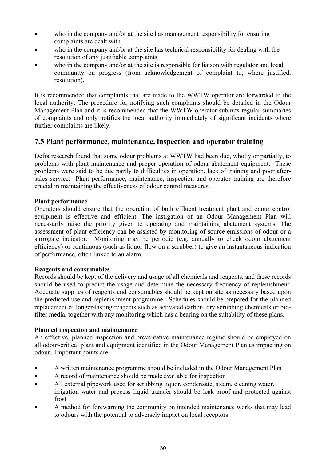- who in the company and/or at the site has management responsibility for ensuring complaints are dealt with
- who in the company and/or at the site has technical responsibility for dealing with the resolution of any justifiable complaints
- who in the company and/or at the site is responsible for liaison with regulator and local community on progress (from acknowledgement of complaint to, where justified, resolution).

It is recommended that complaints that are made to the WWTW operator are forwarded to the local authority. The procedure for notifying such complaints should be detailed in the Odour Management Plan and it is recommended that the WWTW operator submits regular summaries of complaints and only notifies the local authority immediately of significant incidents where further complaints are likely.

#### **7.5 Plant performance, maintenance, inspection and operator training**

Defra research found that some odour problems at WWTW had been due, wholly or partially, to problems with plant maintenance and proper operation of odour abatement equipment. These problems were said to be due partly to difficulties in operation, lack of training and poor aftersales service. Plant performance, maintenance, inspection and operator training are therefore crucial in maintaining the effectiveness of odour control measures.

#### **Plant performance**

Operators should ensure that the operation of both effluent treatment plant and odour control equipment is effective and efficient. The instigation of an Odour Management Plan will necessarily raise the priority given to operating and maintaining abatement systems. The assessment of plant efficiency can be assisted by monitoring of source emissions of odour or a surrogate indicator. Monitoring may be periodic (e.g. annually to check odour abatement efficiency) or continuous (such as liquor flow on a scrubber) to give an instantaneous indication of performance, often linked to an alarm.

#### **Reagents and consumables**

Records should be kept of the delivery and usage of all chemicals and reagents, and these records should be used to predict the usage and determine the necessary frequency of replenishment. Adequate supplies of reagents and consumables should be kept on site as necessary based upon the predicted use and replenishment programme. Schedules should be prepared for the planned replacement of longer-lasting reagents such as activated carbon, dry scrubbing chemicals or biofilter media, together with any monitoring which has a bearing on the suitability of these plans.

#### **Planned inspection and maintenance**

An effective, planned inspection and preventative maintenance regime should be employed on all odour-critical plant and equipment identified in the Odour Management Plan as impacting on odour. Important points are:

- A written maintenance programme should be included in the Odour Management Plan
- A record of maintenance should be made available for inspection
- All external pipework used for scrubbing liquor, condensate, steam, cleaning water, irrigation water and process liquid transfer should be leak-proof and protected against frost
- A method for forewarning the community on intended maintenance works that may lead to odours with the potential to adversely impact on local receptors.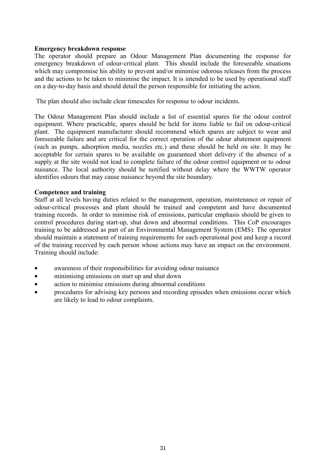#### **Emergency breakdown response**

The operator should prepare an Odour Management Plan documenting the response for emergency breakdown of odour-critical plant. This should include the foreseeable situations which may compromise his ability to prevent and/or minimise odorous releases from the process and the actions to be taken to minimise the impact. It is intended to be used by operational staff on a day-to-day basis and should detail the person responsible for initiating the action.

The plan should also include clear timescales for response to odour incidents.

The Odour Management Plan should include a list of essential spares for the odour control equipment. Where practicable, spares should be held for items liable to fail on odour-critical plant. The equipment manufacturer should recommend which spares are subject to wear and foreseeable failure and are critical for the correct operation of the odour abatement equipment (such as pumps, adsorption media, nozzles etc.) and these should be held on site. It may be acceptable for certain spares to be available on guaranteed short delivery if the absence of a supply at the site would not lead to complete failure of the odour control equipment or to odour nuisance. The local authority should be notified without delay where the WWTW operator identifies odours that may cause nuisance beyond the site boundary.

#### **Competence and training**

Staff at all levels having duties related to the management, operation, maintenance or repair of odour-critical processes and plant should be trained and competent and have documented training records. In order to minimise risk of emissions, particular emphasis should be given to control procedures during start-up, shut down and abnormal conditions. This CoP encourages training to be addressed as part of an Environmental Management System (EMS). The operator should maintain a statement of training requirements for each operational post and keep a record of the training received by each person whose actions may have an impact on the environment. Training should include:

- awareness of their responsibilities for avoiding odour nuisance
- minimising emissions on start up and shut down
- action to minimise emissions during abnormal conditions
- procedures for advising key persons and recording episodes when emissions occur which are likely to lead to odour complaints.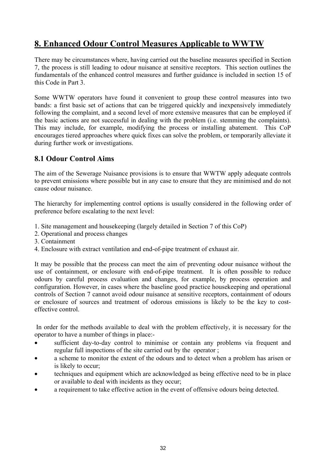# **8. Enhanced Odour Control Measures Applicable to WWTW**

There may be circumstances where, having carried out the baseline measures specified in Section 7, the process is still leading to odour nuisance at sensitive receptors. This section outlines the fundamentals of the enhanced control measures and further guidance is included in section 15 of this Code in Part 3.

Some WWTW operators have found it convenient to group these control measures into two bands: a first basic set of actions that can be triggered quickly and inexpensively immediately following the complaint, and a second level of more extensive measures that can be employed if the basic actions are not successful in dealing with the problem (i.e. stemming the complaints). This may include, for example, modifying the process or installing abatement. This CoP encourages tiered approaches where quick fixes can solve the problem, or temporarily alleviate it during further work or investigations.

#### **8.1 Odour Control Aims**

The aim of the Sewerage Nuisance provisions is to ensure that WWTW apply adequate controls to prevent emissions where possible but in any case to ensure that they are minimised and do not cause odour nuisance.

The hierarchy for implementing control options is usually considered in the following order of preference before escalating to the next level:

- 1. Site management and housekeeping (largely detailed in Section 7 of this CoP)
- 2. Operational and process changes
- 3. Containment
- 4. Enclosure with extract ventilation and end-of-pipe treatment of exhaust air.

It may be possible that the process can meet the aim of preventing odour nuisance without the use of containment, or enclosure with end-of-pipe treatment. It is often possible to reduce odours by careful process evaluation and changes, for example, by process operation and configuration. However, in cases where the baseline good practice housekeeping and operational controls of Section 7 cannot avoid odour nuisance at sensitive receptors, containment of odours or enclosure of sources and treatment of odorous emissions is likely to be the key to costeffective control.

 In order for the methods available to deal with the problem effectively, it is necessary for the operator to have a number of things in place:-

- sufficient day-to-day control to minimise or contain any problems via frequent and regular full inspections of the site carried out by the operator ;
- a scheme to monitor the extent of the odours and to detect when a problem has arisen or is likely to occur;
- techniques and equipment which are acknowledged as being effective need to be in place or available to deal with incidents as they occur;
- a requirement to take effective action in the event of offensive odours being detected.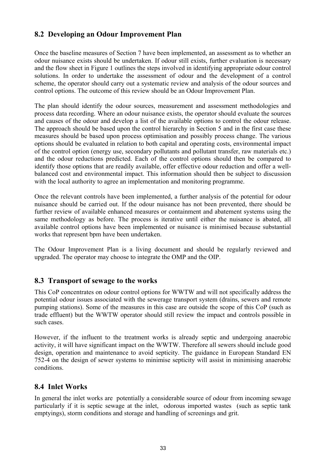#### **8.2 Developing an Odour Improvement Plan**

Once the baseline measures of Section 7 have been implemented, an assessment as to whether an odour nuisance exists should be undertaken. If odour still exists, further evaluation is necessary and the flow sheet in Figure 1 outlines the steps involved in identifying appropriate odour control solutions. In order to undertake the assessment of odour and the development of a control scheme, the operator should carry out a systematic review and analysis of the odour sources and control options. The outcome of this review should be an Odour Improvement Plan.

The plan should identify the odour sources, measurement and assessment methodologies and process data recording. Where an odour nuisance exists, the operator should evaluate the sources and causes of the odour and develop a list of the available options to control the odour release. The approach should be based upon the control hierarchy in Section 5 and in the first case these measures should be based upon process optimisation and possibly process change. The various options should be evaluated in relation to both capital and operating costs, environmental impact of the control option (energy use, secondary pollutants and pollutant transfer, raw materials etc.) and the odour reductions predicted. Each of the control options should then be compared to identify those options that are readily available, offer effective odour reduction and offer a wellbalanced cost and environmental impact. This information should then be subject to discussion with the local authority to agree an implementation and monitoring programme.

Once the relevant controls have been implemented, a further analysis of the potential for odour nuisance should be carried out. If the odour nuisance has not been prevented, there should be further review of available enhanced measures or containment and abatement systems using the same methodology as before. The process is iterative until either the nuisance is abated, all available control options have been implemented or nuisance is minimised because substantial works that represent bpm have been undertaken.

The Odour Improvement Plan is a living document and should be regularly reviewed and upgraded. The operator may choose to integrate the OMP and the OIP.

#### **8.3 Transport of sewage to the works**

This CoP concentrates on odour control options for WWTW and will not specifically address the potential odour issues associated with the sewerage transport system (drains, sewers and remote pumping stations). Some of the measures in this case are outside the scope of this CoP (such as trade effluent) but the WWTW operator should still review the impact and controls possible in such cases

However, if the influent to the treatment works is already septic and undergoing anaerobic activity, it will have significant impact on the WWTW. Therefore all sewers should include good design, operation and maintenance to avoid septicity. The guidance in European Standard EN 752-4 on the design of sewer systems to minimise septicity will assist in minimising anaerobic conditions.

#### **8.4 Inlet Works**

In general the inlet works are potentially a considerable source of odour from incoming sewage particularly if it is septic sewage at the inlet, odorous imported wastes (such as septic tank emptyings), storm conditions and storage and handling of screenings and grit.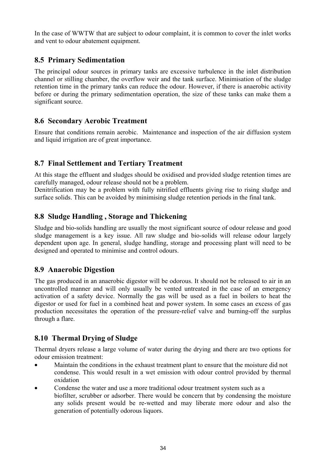In the case of WWTW that are subject to odour complaint, it is common to cover the inlet works and vent to odour abatement equipment.

## **8.5 Primary Sedimentation**

The principal odour sources in primary tanks are excessive turbulence in the inlet distribution channel or stilling chamber, the overflow weir and the tank surface. Minimisation of the sludge retention time in the primary tanks can reduce the odour. However, if there is anaerobic activity before or during the primary sedimentation operation, the size of these tanks can make them a significant source.

#### **8.6 Secondary Aerobic Treatment**

Ensure that conditions remain aerobic. Maintenance and inspection of the air diffusion system and liquid irrigation are of great importance.

## **8.7 Final Settlement and Tertiary Treatment**

At this stage the effluent and sludges should be oxidised and provided sludge retention times are carefully managed, odour release should not be a problem.

Denitrification may be a problem with fully nitrified effluents giving rise to rising sludge and surface solids. This can be avoided by minimising sludge retention periods in the final tank.

#### **8.8 Sludge Handling , Storage and Thickening**

Sludge and bio-solids handling are usually the most significant source of odour release and good sludge management is a key issue. All raw sludge and bio-solids will release odour largely dependent upon age. In general, sludge handling, storage and processing plant will need to be designed and operated to minimise and control odours.

#### **8.9 Anaerobic Digestion**

The gas produced in an anaerobic digestor will be odorous. It should not be released to air in an uncontrolled manner and will only usually be vented untreated in the case of an emergency activation of a safety device. Normally the gas will be used as a fuel in boilers to heat the digestor or used for fuel in a combined heat and power system. In some cases an excess of gas production necessitates the operation of the pressure-relief valve and burning-off the surplus through a flare.

## **8.10 Thermal Drying of Sludge**

Thermal dryers release a large volume of water during the drying and there are two options for odour emission treatment:

- Maintain the conditions in the exhaust treatment plant to ensure that the moisture did not condense. This would result in a wet emission with odour control provided by thermal oxidation
- Condense the water and use a more traditional odour treatment system such as a biofilter, scrubber or adsorber. There would be concern that by condensing the moisture any solids present would be re-wetted and may liberate more odour and also the generation of potentially odorous liquors.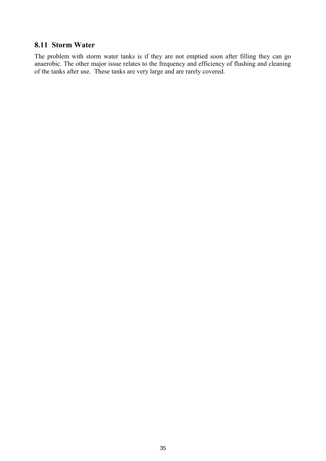#### **8.11 Storm Water**

The problem with storm water tanks is if they are not emptied soon after filling they can go anaerobic. The other major issue relates to the frequency and efficiency of flushing and cleaning of the tanks after use. These tanks are very large and are rarely covered.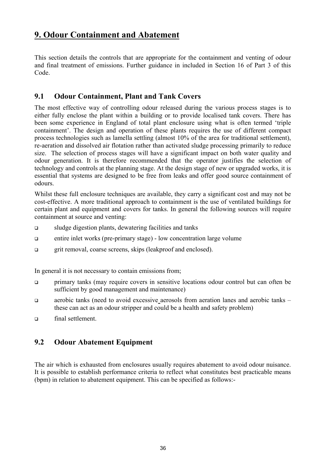## **9. Odour Containment and Abatement**

This section details the controls that are appropriate for the containment and venting of odour and final treatment of emissions. Further guidance in included in Section 16 of Part 3 of this Code.

#### **9.1 Odour Containment, Plant and Tank Covers**

The most effective way of controlling odour released during the various process stages is to either fully enclose the plant within a building or to provide localised tank covers. There has been some experience in England of total plant enclosure using what is often termed 'triple containment'. The design and operation of these plants requires the use of different compact process technologies such as lamella settling (almost 10% of the area for traditional settlement), re-aeration and dissolved air flotation rather than activated sludge processing primarily to reduce size. The selection of process stages will have a significant impact on both water quality and odour generation. It is therefore recommended that the operator justifies the selection of technology and controls at the planning stage. At the design stage of new or upgraded works, it is essential that systems are designed to be free from leaks and offer good source containment of odours.

Whilst these full enclosure techniques are available, they carry a significant cost and may not be cost-effective. A more traditional approach to containment is the use of ventilated buildings for certain plant and equipment and covers for tanks. In general the following sources will require containment at source and venting:

- sludge digestion plants, dewatering facilities and tanks
- entire inlet works (pre-primary stage) low concentration large volume
- grit removal, coarse screens, skips (leakproof and enclosed).

In general it is not necessary to contain emissions from;

- primary tanks (may require covers in sensitive locations odour control but can often be sufficient by good management and maintenance)
- aerobic tanks (need to avoid excessive aerosols from aeration lanes and aerobic tanks these can act as an odour stripper and could be a health and safety problem)
- final settlement.

## **9.2 Odour Abatement Equipment**

The air which is exhausted from enclosures usually requires abatement to avoid odour nuisance. It is possible to establish performance criteria to reflect what constitutes best practicable means (bpm) in relation to abatement equipment. This can be specified as follows:-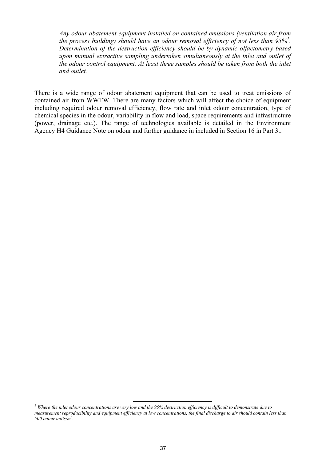*Any odour abatement equipment installed on contained emissions (ventilation air from the process building) should have an odour removal efficiency of not less than 95%1 . Determination of the destruction efficiency should be by dynamic olfactometry based upon manual extractive sampling undertaken simultaneously at the inlet and outlet of the odour control equipment. At least three samples should be taken from both the inlet and outlet.* 

There is a wide range of odour abatement equipment that can be used to treat emissions of contained air from WWTW. There are many factors which will affect the choice of equipment including required odour removal efficiency, flow rate and inlet odour concentration, type of chemical species in the odour, variability in flow and load, space requirements and infrastructure (power, drainage etc.). The range of technologies available is detailed in the Environment Agency H4 Guidance Note on odour and further guidance in included in Section 16 in Part 3..

*<sup>1</sup> Where the inlet odour concentrations are very low and the 95% destruction efficiency is difficult to demonstrate due to measurement reproducibility and equipment efficiency at low concentrations, the final discharge to air should contain less than 500 odour units/m3 .*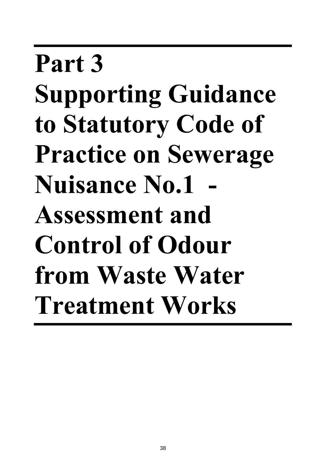# **Part 3 Supporting Guidance to Statutory Code of Practice on Sewerage Nuisance No.1 - Assessment and Control of Odour from Waste Water Treatment Works**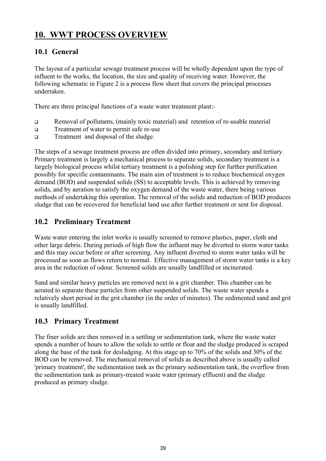# **10. WWT PROCESS OVERVIEW**

## **10.1 General**

The layout of a particular sewage treatment process will be wholly dependent upon the type of influent to the works, the location, the size and quality of receiving water. However, the following schematic in Figure 2 is a process flow sheet that covers the principal processes undertaken.

There are three principal functions of a waste water treatment plant:-

- Removal of pollutants, (mainly toxic material) and retention of re-usable material
- **Treatment of water to permit safe re-use**
- Treatment and disposal of the sludge.

The steps of a sewage treatment process are often divided into primary, secondary and tertiary. Primary treatment is largely a mechanical process to separate solids, secondary treatment is a largely biological process whilst tertiary treatment is a polishing step for further purification possibly for specific contaminants. The main aim of treatment is to reduce biochemical oxygen demand (BOD) and suspended solids (SS) to acceptable levels. This is achieved by removing solids, and by aeration to satisfy the oxygen demand of the waste water, there being various methods of undertaking this operation. The removal of the solids and reduction of BOD produces sludge that can be recovered for beneficial land use after further treatment or sent for disposal.

#### **10.2 Preliminary Treatment**

Waste water entering the inlet works is usually screened to remove plastics, paper, cloth and other large debris. During periods of high flow the influent may be diverted to storm water tanks and this may occur before or after screening. Any influent diverted to storm water tanks will be processed as soon as flows return to normal. Effective management of storm water tanks is a key area in the reduction of odour. Screened solids are usually landfilled or incinerated.

Sand and similar heavy particles are removed next in a grit chamber. This chamber can be aerated to separate these particles from other suspended solids. The waste water spends a relatively short period in the grit chamber (in the order of minutes). The sedimented sand and grit is usually landfilled.

#### **10.3 Primary Treatment**

The finer solids are then removed in a settling or sedimentation tank, where the waste water spends a number of hours to allow the solids to settle or float and the sludge produced is scraped along the base of the tank for desludging. At this stage up to 70% of the solids and 30% of the BOD can be removed. The mechanical removal of solids as described above is usually called 'primary treatment', the sedimentation tank as the primary sedimentation tank, the overflow from the sedimentation tank as primary-treated waste water (primary effluent) and the sludge produced as primary sludge.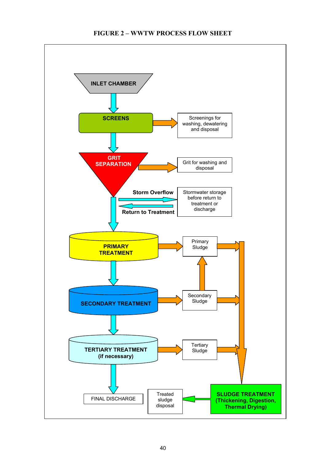#### **FIGURE 2 – WWTW PROCESS FLOW SHEET**

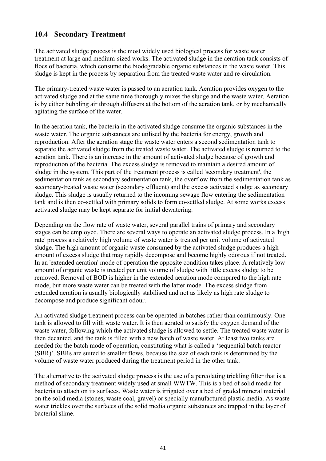#### **10.4 Secondary Treatment**

The activated sludge process is the most widely used biological process for waste water treatment at large and medium-sized works. The activated sludge in the aeration tank consists of flocs of bacteria, which consume the biodegradable organic substances in the waste water. This sludge is kept in the process by separation from the treated waste water and re-circulation.

The primary-treated waste water is passed to an aeration tank. Aeration provides oxygen to the activated sludge and at the same time thoroughly mixes the sludge and the waste water. Aeration is by either bubbling air through diffusers at the bottom of the aeration tank, or by mechanically agitating the surface of the water.

In the aeration tank, the bacteria in the activated sludge consume the organic substances in the waste water. The organic substances are utilised by the bacteria for energy, growth and reproduction. After the aeration stage the waste water enters a second sedimentation tank to separate the activated sludge from the treated waste water. The activated sludge is returned to the aeration tank. There is an increase in the amount of activated sludge because of growth and reproduction of the bacteria. The excess sludge is removed to maintain a desired amount of sludge in the system. This part of the treatment process is called 'secondary treatment', the sedimentation tank as secondary sedimentation tank, the overflow from the sedimentation tank as secondary-treated waste water (secondary effluent) and the excess activated sludge as secondary sludge. This sludge is usually returned to the incoming sewage flow entering the sedimentation tank and is then co-settled with primary solids to form co-settled sludge. At some works excess activated sludge may be kept separate for initial dewatering.

Depending on the flow rate of waste water, several parallel trains of primary and secondary stages can be employed. There are several ways to operate an activated sludge process. In a 'high rate' process a relatively high volume of waste water is treated per unit volume of activated sludge. The high amount of organic waste consumed by the activated sludge produces a high amount of excess sludge that may rapidly decompose and become highly odorous if not treated. In an 'extended aeration' mode of operation the opposite condition takes place. A relatively low amount of organic waste is treated per unit volume of sludge with little excess sludge to be removed. Removal of BOD is higher in the extended aeration mode compared to the high rate mode, but more waste water can be treated with the latter mode. The excess sludge from extended aeration is usually biologically stabilised and not as likely as high rate sludge to decompose and produce significant odour.

An activated sludge treatment process can be operated in batches rather than continuously. One tank is allowed to fill with waste water. It is then aerated to satisfy the oxygen demand of the waste water, following which the activated sludge is allowed to settle. The treated waste water is then decanted, and the tank is filled with a new batch of waste water. At least two tanks are needed for the batch mode of operation, constituting what is called a 'sequential batch reactor (SBR)'. SBRs are suited to smaller flows, because the size of each tank is determined by the volume of waste water produced during the treatment period in the other tank.

The alternative to the activated sludge process is the use of a percolating trickling filter that is a method of secondary treatment widely used at small WWTW. This is a bed of solid media for bacteria to attach on its surfaces. Waste water is irrigated over a bed of graded mineral material on the solid media (stones, waste coal, gravel) or specially manufactured plastic media. As waste water trickles over the surfaces of the solid media organic substances are trapped in the layer of bacterial slime.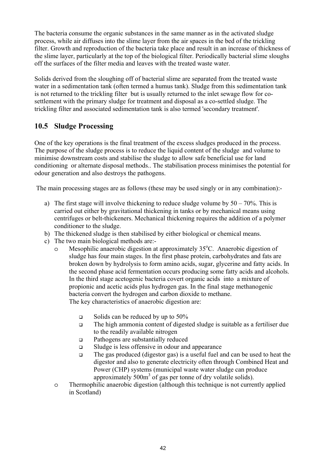The bacteria consume the organic substances in the same manner as in the activated sludge process, while air diffuses into the slime layer from the air spaces in the bed of the trickling filter. Growth and reproduction of the bacteria take place and result in an increase of thickness of the slime layer, particularly at the top of the biological filter. Periodically bacterial slime sloughs off the surfaces of the filter media and leaves with the treated waste water.

Solids derived from the sloughing off of bacterial slime are separated from the treated waste water in a sedimentation tank (often termed a humus tank). Sludge from this sedimentation tank is not returned to the trickling filter but is usually returned to the inlet sewage flow for cosettlement with the primary sludge for treatment and disposal as a co-settled sludge. The trickling filter and associated sedimentation tank is also termed 'secondary treatment'.

## **10.5 Sludge Processing**

One of the key operations is the final treatment of the excess sludges produced in the process. The purpose of the sludge process is to reduce the liquid content of the sludge and volume to minimise downstream costs and stabilise the sludge to allow safe beneficial use for land conditioning or alternate disposal methods.. The stabilisation process minimises the potential for odour generation and also destroys the pathogens.

The main processing stages are as follows (these may be used singly or in any combination):-

- a) The first stage will involve thickening to reduce sludge volume by  $50 70\%$ . This is carried out either by gravitational thickening in tanks or by mechanical means using centrifuges or belt-thickeners. Mechanical thickening requires the addition of a polymer conditioner to the sludge.
- b) The thickened sludge is then stabilised by either biological or chemical means.
- c) The two main biological methods are:
	- o Mesophilic anaerobic digestion at approximately 35°C. Anaerobic digestion of sludge has four main stages. In the first phase protein, carbohydrates and fats are broken down by hydrolysis to form amino acids, sugar, glycerine and fatty acids. In the second phase acid fermentation occurs producing some fatty acids and alcohols. In the third stage acetogenic bacteria covert organic acids into a mixture of propionic and acetic acids plus hydrogen gas. In the final stage methanogenic bacteria convert the hydrogen and carbon dioxide to methane. The key characteristics of anaerobic digestion are:
		- $\Box$  Solids can be reduced by up to 50%
		- The high ammonia content of digested sludge is suitable as a fertiliser due to the readily available nitrogen
		- Pathogens are substantially reduced
		- Sludge is less offensive in odour and appearance
		- The gas produced (digestor gas) is a useful fuel and can be used to heat the digestor and also to generate electricity often through Combined Heat and Power (CHP) systems (municipal waste water sludge can produce approximately  $500m<sup>3</sup>$  of gas per tonne of dry volatile solids).
	- o Thermophilic anaerobic digestion (although this technique is not currently applied in Scotland)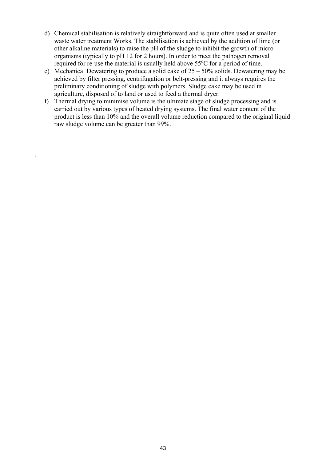- d) Chemical stabilisation is relatively straightforward and is quite often used at smaller waste water treatment Works. The stabilisation is achieved by the addition of lime (or other alkaline materials) to raise the pH of the sludge to inhibit the growth of micro organisms (typically to pH 12 for 2 hours). In order to meet the pathogen removal required for re-use the material is usually held above 55°C for a period of time.
- e) Mechanical Dewatering to produce a solid cake of 25 50% solids. Dewatering may be achieved by filter pressing, centrifugation or belt-pressing and it always requires the preliminary conditioning of sludge with polymers. Sludge cake may be used in agriculture, disposed of to land or used to feed a thermal dryer.
- f) Thermal drying to minimise volume is the ultimate stage of sludge processing and is carried out by various types of heated drying systems. The final water content of the product is less than 10% and the overall volume reduction compared to the original liquid raw sludge volume can be greater than 99%.

.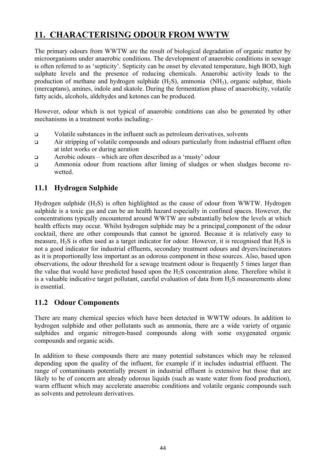# **11. CHARACTERISING ODOUR FROM WWTW**

The primary odours from WWTW are the result of biological degradation of organic matter by microorganisms under anaerobic conditions. The development of anaerobic conditions in sewage is often referred to as 'septicity'. Septicity can be onset by elevated temperature, high BOD, high sulphate levels and the presence of reducing chemicals. Anaerobic activity leads to the production of methane and hydrogen sulphide  $(H<sub>2</sub>S)$ , ammonia  $(NH<sub>3</sub>)$ , organic sulphur, thiols (mercaptans), amines, indole and skatole. During the fermentation phase of anaerobicity, volatile fatty acids, alcohols, aldehydes and ketones can be produced.

However, odour which is not typical of anaerobic conditions can also be generated by other mechanisms in a treatment works including:-

- Volatile substances in the influent such as petroleum derivatives, solvents
- Air stripping of volatile compounds and odours particularly from industrial effluent often at inlet works or during aeration
- Aerobic odours which are often described as a 'musty' odour
- Ammonia odour from reactions after liming of sludges or when sludges become rewetted.

## **11.1 Hydrogen Sulphide**

Hydrogen sulphide  $(H_2S)$  is often highlighted as the cause of odour from WWTW. Hydrogen sulphide is a toxic gas and can be an health hazard especially in confined spaces. However, the concentrations typically encountered around WWTW are substantially below the levels at which health effects may occur. Whilst hydrogen sulphide may be a principal component of the odour cocktail, there are other compounds that cannot be ignored. Because it is relatively easy to measure,  $H_2S$  is often used as a target indicator for odour. However, it is recognised that  $H_2S$  is not a good indicator for industrial effluents, secondary treatment odours and dryers/incinerators as it is proportionally less important as an odorous component in these sources. Also, based upon observations, the odour threshold for a sewage treatment odour is frequently 5 times larger than the value that would have predicted based upon the  $H<sub>2</sub>S$  concentration alone. Therefore whilst it is a valuable indicative target pollutant, careful evaluation of data from  $H<sub>2</sub>S$  measurements alone is essential.

## **11.2 Odour Components**

There are many chemical species which have been detected in WWTW odours. In addition to hydrogen sulphide and other pollutants such as ammonia, there are a wide variety of organic sulphides and organic nitrogen-based compounds along with some oxygenated organic compounds and organic acids.

In addition to these compounds there are many potential substances which may be released depending upon the quality of the influent, for example if it includes industrial effluent. The range of contaminants potentially present in industrial effluent is extensive but those that are likely to be of concern are already odorous liquids (such as waste water from food production), warm effluent which may accelerate anaerobic conditions and volatile organic compounds such as solvents and petroleum derivatives.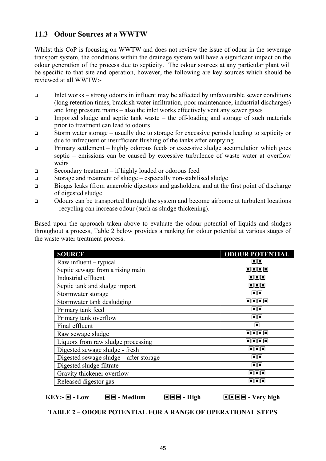## **11.3 Odour Sources at a WWTW**

Whilst this CoP is focusing on WWTW and does not review the issue of odour in the sewerage transport system, the conditions within the drainage system will have a significant impact on the odour generation of the process due to septicity. The odour sources at any particular plant will be specific to that site and operation, however, the following are key sources which should be reviewed at all WWTW:-

- $\Box$  Inlet works strong odours in influent may be affected by unfavourable sewer conditions (long retention times, brackish water infiltration, poor maintenance, industrial discharges) and long pressure mains – also the inlet works effectively vent any sewer gases
- Imported sludge and septic tank waste the off-loading and storage of such materials prior to treatment can lead to odours
- Storm water storage usually due to storage for excessive periods leading to septicity or due to infrequent or insufficient flushing of the tanks after emptying
- Primary settlement highly odorous feeds or excessive sludge accumulation which goes septic – emissions can be caused by excessive turbulence of waste water at overflow weirs
- □ Secondary treatment if highly loaded or odorous feed
- Storage and treatment of sludge especially non-stabilised sludge
- Biogas leaks (from anaerobic digestors and gasholders, and at the first point of discharge of digested sludge
- Odours can be transported through the system and become airborne at turbulent locations – recycling can increase odour (such as sludge thickening).

Based upon the approach taken above to evaluate the odour potential of liquids and sludges throughout a process, Table 2 below provides a ranking for odour potential at various stages of the waste water treatment process.

| <b>SOURCE</b>                          | <b>ODOUR POTENTIAL</b>                       |
|----------------------------------------|----------------------------------------------|
| Raw influent – typical                 | 回回                                           |
| Septic sewage from a rising main       | oooo                                         |
| Industrial effluent                    | ooo                                          |
| Septic tank and sludge import          | ooo                                          |
| Stormwater storage                     | 回回                                           |
| Stormwater tank desludging             | oooo                                         |
| Primary tank feed                      | oo                                           |
| Primary tank overflow                  | oo                                           |
| Final effluent                         | П                                            |
| Raw sewage sludge                      | Fieinia                                      |
| Liquors from raw sludge processing     | oooo                                         |
| Digested sewage sludge - fresh         | 000                                          |
| Digested sewage sludge – after storage | oo                                           |
| Digested sludge filtrate               | 回回                                           |
| Gravity thickener overflow             | ooo                                          |
| Released digestor gas                  | $\blacksquare$ $\blacksquare$ $\blacksquare$ |

 $KEY: \blacksquare - Low \blacksquare = - Median \blacksquare - Median \blacksquare - High \blacksquare - Very high$ 

**TABLE 2 – ODOUR POTENTIAL FOR A RANGE OF OPERATIONAL STEPS**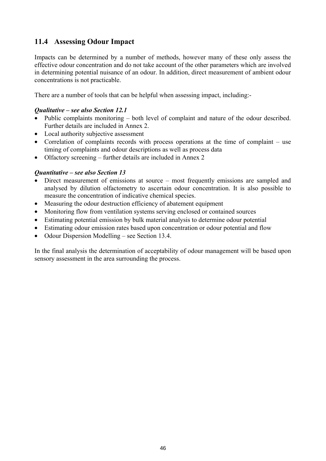## **11.4 Assessing Odour Impact**

Impacts can be determined by a number of methods, however many of these only assess the effective odour concentration and do not take account of the other parameters which are involved in determining potential nuisance of an odour. In addition, direct measurement of ambient odour concentrations is not practicable.

There are a number of tools that can be helpful when assessing impact, including:-

#### *Qualitative – see also Section 12.1*

- Public complaints monitoring both level of complaint and nature of the odour described. Further details are included in Annex 2.
- Local authority subjective assessment
- Correlation of complaints records with process operations at the time of complaint use timing of complaints and odour descriptions as well as process data
- Olfactory screening further details are included in Annex 2

#### *Quantitative – see also Section 13*

- Direct measurement of emissions at source most frequently emissions are sampled and analysed by dilution olfactometry to ascertain odour concentration. It is also possible to measure the concentration of indicative chemical species.
- Measuring the odour destruction efficiency of abatement equipment
- Monitoring flow from ventilation systems serving enclosed or contained sources
- Estimating potential emission by bulk material analysis to determine odour potential
- Estimating odour emission rates based upon concentration or odour potential and flow
- Odour Dispersion Modelling see Section 13.4.

In the final analysis the determination of acceptability of odour management will be based upon sensory assessment in the area surrounding the process.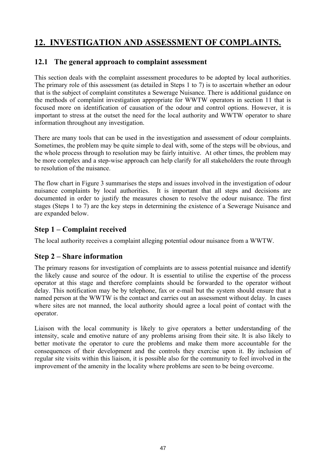# **12. INVESTIGATION AND ASSESSMENT OF COMPLAINTS.**

#### **12.1 The general approach to complaint assessment**

This section deals with the complaint assessment procedures to be adopted by local authorities. The primary role of this assessment (as detailed in Steps 1 to 7) is to ascertain whether an odour that is the subject of complaint constitutes a Sewerage Nuisance. There is additional guidance on the methods of complaint investigation appropriate for WWTW operators in section 11 that is focused more on identification of causation of the odour and control options. However, it is important to stress at the outset the need for the local authority and WWTW operator to share information throughout any investigation.

There are many tools that can be used in the investigation and assessment of odour complaints. Sometimes, the problem may be quite simple to deal with, some of the steps will be obvious, and the whole process through to resolution may be fairly intuitive. At other times, the problem may be more complex and a step-wise approach can help clarify for all stakeholders the route through to resolution of the nuisance.

The flow chart in Figure 3 summarises the steps and issues involved in the investigation of odour nuisance complaints by local authorities. It is important that all steps and decisions are documented in order to justify the measures chosen to resolve the odour nuisance. The first stages (Steps 1 to 7) are the key steps in determining the existence of a Sewerage Nuisance and are expanded below.

#### **Step 1 – Complaint received**

The local authority receives a complaint alleging potential odour nuisance from a WWTW.

## **Step 2 – Share information**

The primary reasons for investigation of complaints are to assess potential nuisance and identify the likely cause and source of the odour. It is essential to utilise the expertise of the process operator at this stage and therefore complaints should be forwarded to the operator without delay. This notification may be by telephone, fax or e-mail but the system should ensure that a named person at the WWTW is the contact and carries out an assessment without delay. In cases where sites are not manned, the local authority should agree a local point of contact with the operator.

Liaison with the local community is likely to give operators a better understanding of the intensity, scale and emotive nature of any problems arising from their site. It is also likely to better motivate the operator to cure the problems and make them more accountable for the consequences of their development and the controls they exercise upon it. By inclusion of regular site visits within this liaison, it is possible also for the community to feel involved in the improvement of the amenity in the locality where problems are seen to be being overcome.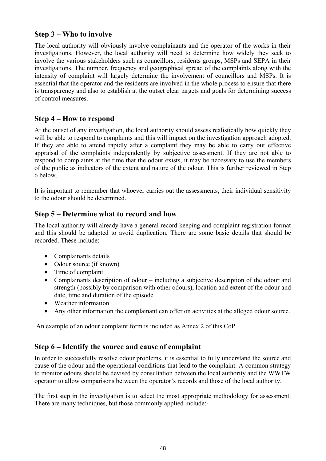#### **Step 3 – Who to involve**

The local authority will obviously involve complainants and the operator of the works in their investigations. However, the local authority will need to determine how widely they seek to involve the various stakeholders such as councillors, residents groups, MSPs and SEPA in their investigations. The number, frequency and geographical spread of the complaints along with the intensity of complaint will largely determine the involvement of councillors and MSPs. It is essential that the operator and the residents are involved in the whole process to ensure that there is transparency and also to establish at the outset clear targets and goals for determining success of control measures.

#### **Step 4 – How to respond**

At the outset of any investigation, the local authority should assess realistically how quickly they will be able to respond to complaints and this will impact on the investigation approach adopted. If they are able to attend rapidly after a complaint they may be able to carry out effective appraisal of the complaints independently by subjective assessment. If they are not able to respond to complaints at the time that the odour exists, it may be necessary to use the members of the public as indicators of the extent and nature of the odour. This is further reviewed in Step 6 below.

It is important to remember that whoever carries out the assessments, their individual sensitivity to the odour should be determined.

#### **Step 5 – Determine what to record and how**

The local authority will already have a general record keeping and complaint registration format and this should be adapted to avoid duplication. There are some basic details that should be recorded. These include:-

- Complainants details
- Odour source (if known)
- Time of complaint
- Complainants description of odour including a subjective description of the odour and strength (possibly by comparison with other odours), location and extent of the odour and date, time and duration of the episode
- Weather information
- Any other information the complainant can offer on activities at the alleged odour source.

An example of an odour complaint form is included as Annex 2 of this CoP.

#### **Step 6 – Identify the source and cause of complaint**

In order to successfully resolve odour problems, it is essential to fully understand the source and cause of the odour and the operational conditions that lead to the complaint. A common strategy to monitor odours should be devised by consultation between the local authority and the WWTW operator to allow comparisons between the operator's records and those of the local authority.

The first step in the investigation is to select the most appropriate methodology for assessment. There are many techniques, but those commonly applied include:-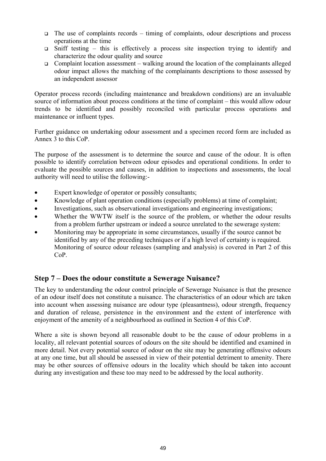- $\Box$  The use of complaints records timing of complaints, odour descriptions and process operations at the time
- $\Box$  Sniff testing this is effectively a process site inspection trying to identify and characterize the odour quality and source
- $\Box$  Complaint location assessment walking around the location of the complainants alleged odour impact allows the matching of the complainants descriptions to those assessed by an independent assessor

Operator process records (including maintenance and breakdown conditions) are an invaluable source of information about process conditions at the time of complaint – this would allow odour trends to be identified and possibly reconciled with particular process operations and maintenance or influent types.

Further guidance on undertaking odour assessment and a specimen record form are included as Annex 3 to this CoP.

The purpose of the assessment is to determine the source and cause of the odour. It is often possible to identify correlation between odour episodes and operational conditions. In order to evaluate the possible sources and causes, in addition to inspections and assessments, the local authority will need to utilise the following:-

- Expert knowledge of operator or possibly consultants;
- Knowledge of plant operation conditions (especially problems) at time of complaint;
- Investigations, such as observational investigations and engineering investigations;
- Whether the WWTW itself is the source of the problem, or whether the odour results from a problem further upstream or indeed a source unrelated to the sewerage system:
- Monitoring may be appropriate in some circumstances, usually if the source cannot be identified by any of the preceding techniques or if a high level of certainty is required. Monitoring of source odour releases (sampling and analysis) is covered in Part 2 of this CoP.

#### **Step 7 – Does the odour constitute a Sewerage Nuisance?**

The key to understanding the odour control principle of Sewerage Nuisance is that the presence of an odour itself does not constitute a nuisance. The characteristics of an odour which are taken into account when assessing nuisance are odour type (pleasantness), odour strength, frequency and duration of release, persistence in the environment and the extent of interference with enjoyment of the amenity of a neighbourhood as outlined in Section 4 of this CoP.

Where a site is shown beyond all reasonable doubt to be the cause of odour problems in a locality, all relevant potential sources of odours on the site should be identified and examined in more detail. Not every potential source of odour on the site may be generating offensive odours at any one time, but all should be assessed in view of their potential detriment to amenity. There may be other sources of offensive odours in the locality which should be taken into account during any investigation and these too may need to be addressed by the local authority.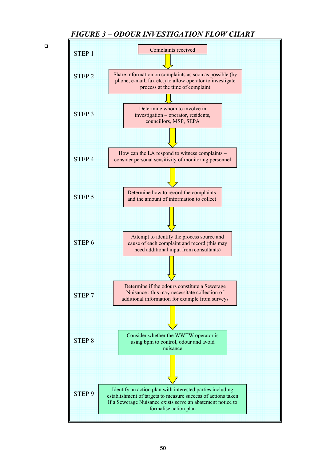#### *FIGURE 3 – ODOUR INVESTIGATION FLOW CHART*

 $\Box$ 

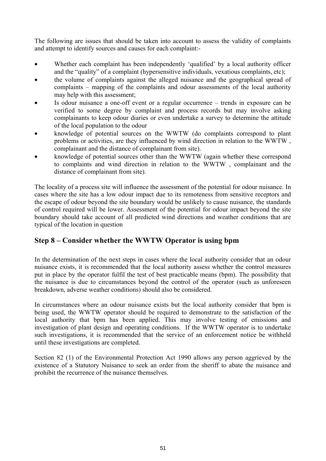The following are issues that should be taken into account to assess the validity of complaints and attempt to identify sources and causes for each complaint:-

- Whether each complaint has been independently 'qualified' by a local authority officer and the "quality" of a complaint (hypersensitive individuals, vexatious complaints, etc);
- the volume of complaints against the alleged nuisance and the geographical spread of complaints – mapping of the complaints and odour assessments of the local authority may help with this assessment;
- Is odour nuisance a one-off event or a regular occurrence trends in exposure can be verified to some degree by complaint and process records but may involve asking complainants to keep odour diaries or even undertake a survey to determine the attitude of the local population to the odour
- knowledge of potential sources on the WWTW (do complaints correspond to plant problems or activities, are they influenced by wind direction in relation to the WWTW , complainant and the distance of complainant from site).
- knowledge of potential sources other than the WWTW (again whether these correspond to complaints and wind direction in relation to the WWTW , complainant and the distance of complainant from site).

The locality of a process site will influence the assessment of the potential for odour nuisance. In cases where the site has a low odour impact due to its remoteness from sensitive receptors and the escape of odour beyond the site boundary would be unlikely to cause nuisance, the standards of control required will be lower. Assessment of the potential for odour impact beyond the site boundary should take account of all predicted wind directions and weather conditions that are typical of the location in question

## **Step 8 – Consider whether the WWTW Operator is using bpm**

In the determination of the next steps in cases where the local authority consider that an odour nuisance exists, it is recommended that the local authority assess whether the control measures put in place by the operator fulfil the test of best practicable means (bpm). The possibility that the nuisance is due to circumstances beyond the control of the operator (such as unforeseen breakdown, adverse weather conditions) should also be considered.

In circumstances where an odour nuisance exists but the local authority consider that bpm is being used, the WWTW operator should be required to demonstrate to the satisfaction of the local authority that bpm has been applied. This may involve testing of emissions and investigation of plant design and operating conditions. If the WWTW operator is to undertake such investigations, it is recommended that the service of an enforcement notice be withheld until these investigations are completed.

Section 82 (1) of the Environmental Protection Act 1990 allows any person aggrieved by the existence of a Statutory Nuisance to seek an order from the sheriff to abate the nuisance and prohibit the recurrence of the nuisance themselves.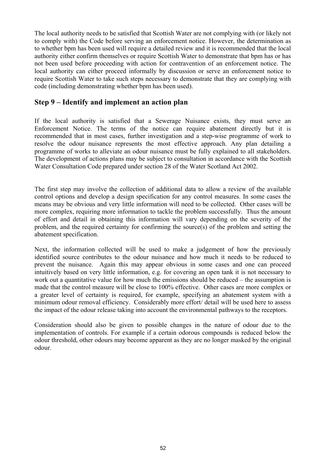The local authority needs to be satisfied that Scottish Water are not complying with (or likely not to comply with) the Code before serving an enforcement notice. However, the determination as to whether bpm has been used will require a detailed review and it is recommended that the local authority either confirm themselves or require Scottish Water to demonstrate that bpm has or has not been used before proceeding with action for contravention of an enforcement notice. The local authority can either proceed informally by discussion or serve an enforcement notice to require Scottish Water to take such steps necessary to demonstrate that they are complying with code (including demonstrating whether bpm has been used).

#### **Step 9 – Identify and implement an action plan**

If the local authority is satisfied that a Sewerage Nuisance exists, they must serve an Enforcement Notice. The terms of the notice can require abatement directly but it is recommended that in most cases, further investigation and a step-wise programme of work to resolve the odour nuisance represents the most effective approach. Any plan detailing a programme of works to alleviate an odour nuisance must be fully explained to all stakeholders. The development of actions plans may be subject to consultation in accordance with the Scottish Water Consultation Code prepared under section 28 of the Water Scotland Act 2002.

The first step may involve the collection of additional data to allow a review of the available control options and develop a design specification for any control measures. In some cases the means may be obvious and very little information will need to be collected. Other cases will be more complex, requiring more information to tackle the problem successfully. Thus the amount of effort and detail in obtaining this information will vary depending on the severity of the problem, and the required certainty for confirming the source(s) of the problem and setting the abatement specification.

Next, the information collected will be used to make a judgement of how the previously identified source contributes to the odour nuisance and how much it needs to be reduced to prevent the nuisance. Again this may appear obvious in some cases and one can proceed intuitively based on very little information, e.g. for covering an open tank it is not necessary to work out a quantitative value for how much the emissions should be reduced – the assumption is made that the control measure will be close to 100% effective. Other cases are more complex or a greater level of certainty is required, for example, specifying an abatement system with a minimum odour removal efficiency. Considerably more effort/ detail will be used here to assess the impact of the odour release taking into account the environmental pathways to the receptors.

Consideration should also be given to possible changes in the nature of odour due to the implementation of controls. For example if a certain odorous compounds is reduced below the odour threshold, other odours may become apparent as they are no longer masked by the original odour.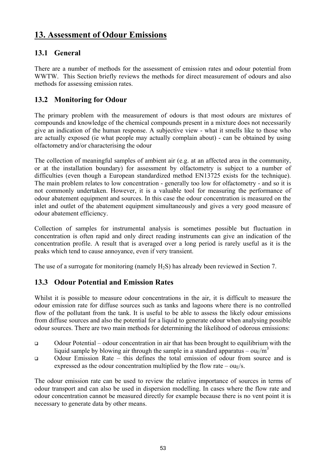# **13. Assessment of Odour Emissions**

## **13.1 General**

There are a number of methods for the assessment of emission rates and odour potential from WWTW. This Section briefly reviews the methods for direct measurement of odours and also methods for assessing emission rates.

#### **13.2 Monitoring for Odour**

The primary problem with the measurement of odours is that most odours are mixtures of compounds and knowledge of the chemical compounds present in a mixture does not necessarily give an indication of the human response. A subjective view - what it smells like to those who are actually exposed (ie what people may actually complain about) - can be obtained by using olfactometry and/or characterising the odour

The collection of meaningful samples of ambient air (e.g. at an affected area in the community, or at the installation boundary) for assessment by olfactometry is subject to a number of difficulties (even though a European standardized method EN13725 exists for the technique). The main problem relates to low concentration - generally too low for olfactometry - and so it is not commonly undertaken. However, it is a valuable tool for measuring the performance of odour abatement equipment and sources. In this case the odour concentration is measured on the inlet and outlet of the abatement equipment simultaneously and gives a very good measure of odour abatement efficiency.

Collection of samples for instrumental analysis is sometimes possible but fluctuation in concentration is often rapid and only direct reading instruments can give an indication of the concentration profile. A result that is averaged over a long period is rarely useful as it is the peaks which tend to cause annoyance, even if very transient.

The use of a surrogate for monitoring (namely  $H_2S$ ) has already been reviewed in Section 7.

## **13.3 Odour Potential and Emission Rates**

Whilst it is possible to measure odour concentrations in the air, it is difficult to measure the odour emission rate for diffuse sources such as tanks and lagoons where there is no controlled flow of the pollutant from the tank. It is useful to be able to assess the likely odour emissions from diffuse sources and also the potential for a liquid to generate odour when analysing possible odour sources. There are two main methods for determining the likelihood of odorous emissions:

- Odour Potential odour concentration in air that has been brought to equilibrium with the liquid sample by blowing air through the sample in a standard apparatus –  $ouE/m^3$
- Odour Emission Rate this defines the total emission of odour from source and is expressed as the odour concentration multiplied by the flow rate –  $ou<sub>F</sub>/s$ .

The odour emission rate can be used to review the relative importance of sources in terms of odour transport and can also be used in dispersion modelling. In cases where the flow rate and odour concentration cannot be measured directly for example because there is no vent point it is necessary to generate data by other means.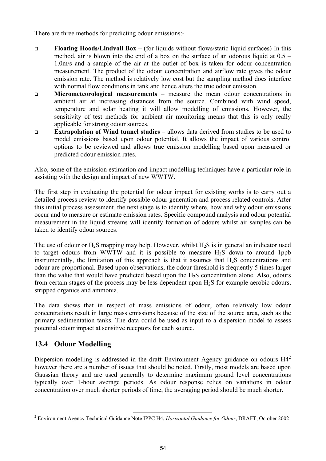There are three methods for predicting odour emissions:-

- **Floating Hoods/Lindvall Box** (for liquids without flows/static liquid surfaces) In this method, air is blown into the end of a box on the surface of an odorous liquid at 0.5 – 1.0m/s and a sample of the air at the outlet of box is taken for odour concentration measurement. The product of the odour concentration and airflow rate gives the odour emission rate. The method is relatively low cost but the sampling method does interfere with normal flow conditions in tank and hence alters the true odour emission.
- **Micrometeorological measurements** measure the mean odour concentrations in ambient air at increasing distances from the source. Combined with wind speed, temperature and solar heating it will allow modelling of emissions. However, the sensitivity of test methods for ambient air monitoring means that this is only really applicable for strong odour sources.
- **Extrapolation of Wind tunnel studies** allows data derived from studies to be used to model emissions based upon odour potential. It allows the impact of various control options to be reviewed and allows true emission modelling based upon measured or predicted odour emission rates.

Also, some of the emission estimation and impact modelling techniques have a particular role in assisting with the design and impact of new WWTW.

The first step in evaluating the potential for odour impact for existing works is to carry out a detailed process review to identify possible odour generation and process related controls. After this initial process assessment, the next stage is to identify where, how and why odour emissions occur and to measure or estimate emission rates. Specific compound analysis and odour potential measurement in the liquid streams will identify formation of odours whilst air samples can be taken to identify odour sources.

The use of odour or  $H_2S$  mapping may help. However, whilst  $H_2S$  is in general an indicator used to target odours from WWTW and it is possible to measure  $H_2S$  down to around 1ppb instrumentally, the limitation of this approach is that it assumes that  $H_2S$  concentrations and odour are proportional. Based upon observations, the odour threshold is frequently 5 times larger than the value that would have predicted based upon the  $H_2S$  concentration alone. Also, odours from certain stages of the process may be less dependent upon  $H_2S$  for example aerobic odours, stripped organics and ammonia.

The data shows that in respect of mass emissions of odour, often relatively low odour concentrations result in large mass emissions because of the size of the source area, such as the primary sedimentation tanks. The data could be used as input to a dispersion model to assess potential odour impact at sensitive receptors for each source.

## **13.4 Odour Modelling**

Dispersion modelling is addressed in the draft Environment Agency guidance on odours  $H4^2$ however there are a number of issues that should be noted. Firstly, most models are based upon Gaussian theory and are used generally to determine maximum ground level concentrations typically over 1-hour average periods. As odour response relies on variations in odour concentration over much shorter periods of time, the averaging period should be much shorter.

 <sup>2</sup> Environment Agency Technical Guidance Note IPPC H4, *Horizontal Guidance for Odour*, DRAFT, October 2002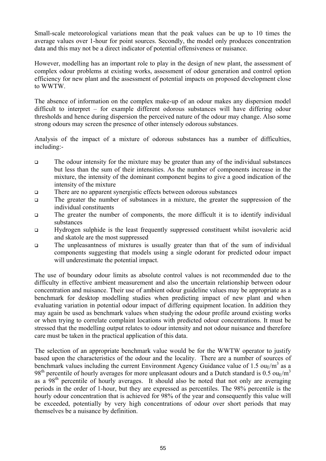Small-scale meteorological variations mean that the peak values can be up to 10 times the average values over 1-hour for point sources. Secondly, the model only produces concentration data and this may not be a direct indicator of potential offensiveness or nuisance.

However, modelling has an important role to play in the design of new plant, the assessment of complex odour problems at existing works, assessment of odour generation and control option efficiency for new plant and the assessment of potential impacts on proposed development close to WWTW.

The absence of information on the complex make-up of an odour makes any dispersion model difficult to interpret – for example different odorous substances will have differing odour thresholds and hence during dispersion the perceived nature of the odour may change. Also some strong odours may screen the presence of other intensely odorous substances.

Analysis of the impact of a mixture of odorous substances has a number of difficulties, including:-

- The odour intensity for the mixture may be greater than any of the individual substances but less than the sum of their intensities. As the number of components increase in the mixture, the intensity of the dominant component begins to give a good indication of the intensity of the mixture
- There are no apparent synergistic effects between odorous substances
- The greater the number of substances in a mixture, the greater the suppression of the individual constituents
- The greater the number of components, the more difficult it is to identify individual substances
- Hydrogen sulphide is the least frequently suppressed constituent whilst isovaleric acid and skatole are the most suppressed
- The unpleasantness of mixtures is usually greater than that of the sum of individual components suggesting that models using a single odorant for predicted odour impact will underestimate the potential impact.

The use of boundary odour limits as absolute control values is not recommended due to the difficulty in effective ambient measurement and also the uncertain relationship between odour concentration and nuisance. Their use of ambient odour guideline values may be appropriate as a benchmark for desktop modelling studies when predicting impact of new plant and when evaluating variation in potential odour impact of differing equipment location. In addition they may again be used as benchmark values when studying the odour profile around existing works or when trying to correlate complaint locations with predicted odour concentrations. It must be stressed that the modelling output relates to odour intensity and not odour nuisance and therefore care must be taken in the practical application of this data.

The selection of an appropriate benchmark value would be for the WWTW operator to justify based upon the characteristics of the odour and the locality. There are a number of sources of benchmark values including the current Environment Agency Guidance value of 1.5  $ouE/m<sup>3</sup>$  as a 98<sup>th</sup> percentile of hourly averages for more unpleasant odours and a Dutch standard is 0.5 ou<sub>E</sub>/m<sup>3</sup> as a  $98<sup>th</sup>$  percentile of hourly averages. It should also be noted that not only are averaging periods in the order of 1-hour, but they are expressed as percentiles. The 98% percentile is the hourly odour concentration that is achieved for 98% of the year and consequently this value will be exceeded, potentially by very high concentrations of odour over short periods that may themselves be a nuisance by definition.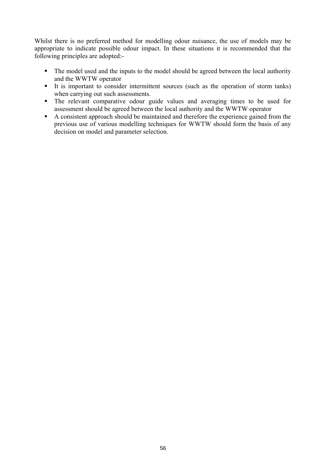Whilst there is no preferred method for modelling odour nuisance, the use of models may be appropriate to indicate possible odour impact. In these situations it is recommended that the following principles are adopted:-

- The model used and the inputs to the model should be agreed between the local authority and the WWTW operator
- It is important to consider intermittent sources (such as the operation of storm tanks) when carrying out such assessments.
- The relevant comparative odour guide values and averaging times to be used for assessment should be agreed between the local authority and the WWTW operator
- A consistent approach should be maintained and therefore the experience gained from the previous use of various modelling techniques for WWTW should form the basis of any decision on model and parameter selection.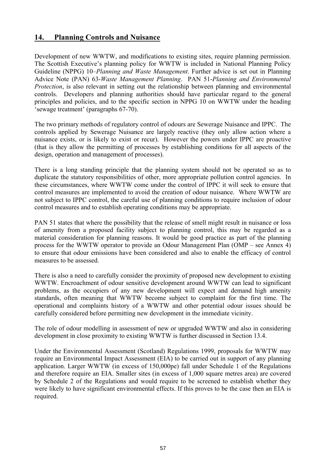#### **14. Planning Controls and Nuisance**

Development of new WWTW, and modifications to existing sites, require planning permission. The Scottish Executive's planning policy for WWTW is included in National Planning Policy Guideline (NPPG) 10–*Planning and Waste Management*. Further advice is set out in Planning Advice Note (PAN) 63-*Waste Management Planning*. PAN 51-*Planning and Environmental Protection*, is also relevant in setting out the relationship between planning and environmental controls. Developers and planning authorities should have particular regard to the general principles and policies, and to the specific section in NPPG 10 on WWTW under the heading 'sewage treatment' (paragraphs 67-70).

The two primary methods of regulatory control of odours are Sewerage Nuisance and IPPC. The controls applied by Sewerage Nuisance are largely reactive (they only allow action where a nuisance exists, or is likely to exist or recur). However the powers under IPPC are proactive (that is they allow the permitting of processes by establishing conditions for all aspects of the design, operation and management of processes).

There is a long standing principle that the planning system should not be operated so as to duplicate the statutory responsibilities of other, more appropriate pollution control agencies. In these circumstances, where WWTW come under the control of IPPC it will seek to ensure that control measures are implemented to avoid the creation of odour nuisance. Where WWTW are not subject to IPPC control, the careful use of planning conditions to require inclusion of odour control measures and to establish operating conditions may be appropriate.

PAN 51 states that where the possibility that the release of smell might result in nuisance or loss of amenity from a proposed facility subject to planning control, this may be regarded as a material consideration for planning reasons. It would be good practice as part of the planning process for the WWTW operator to provide an Odour Management Plan (OMP – see Annex 4) to ensure that odour emissions have been considered and also to enable the efficacy of control measures to be assessed.

There is also a need to carefully consider the proximity of proposed new development to existing WWTW. Encroachment of odour sensitive development around WWTW can lead to significant problems, as the occupiers of any new development will expect and demand high amenity standards, often meaning that WWTW become subject to complaint for the first time. The operational and complaints history of a WWTW and other potential odour issues should be carefully considered before permitting new development in the immediate vicinity.

The role of odour modelling in assessment of new or upgraded WWTW and also in considering development in close proximity to existing WWTW is further discussed in Section 13.4.

Under the Environmental Assessment (Scotland) Regulations 1999, proposals for WWTW may require an Environmental Impact Assessment (EIA) to be carried out in support of any planning application. Larger WWTW (in excess of 150,000pe) fall under Schedule 1 of the Regulations and therefore require an EIA. Smaller sites (in excess of 1,000 square metres area) are covered by Schedule 2 of the Regulations and would require to be screened to establish whether they were likely to have significant environmental effects. If this proves to be the case then an EIA is required.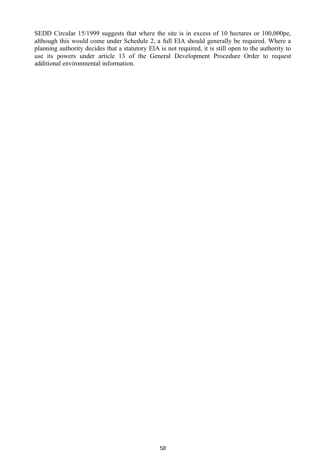SEDD Circular 15/1999 suggests that where the site is in excess of 10 hectares or 100,000pe, although this would come under Schedule 2, a full EIA should generally be required. Where a planning authority decides that a statutory EIA is not required, it is still open to the authority to use its powers under article 13 of the General Development Procedure Order to request additional environmental information.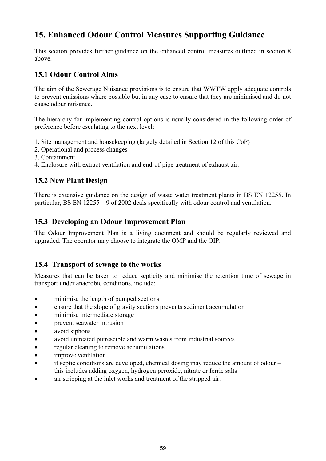# **15. Enhanced Odour Control Measures Supporting Guidance**

This section provides further guidance on the enhanced control measures outlined in section 8 above.

#### **15.1 Odour Control Aims**

The aim of the Sewerage Nuisance provisions is to ensure that WWTW apply adequate controls to prevent emissions where possible but in any case to ensure that they are minimised and do not cause odour nuisance.

The hierarchy for implementing control options is usually considered in the following order of preference before escalating to the next level:

- 1. Site management and housekeeping (largely detailed in Section 12 of this CoP)
- 2. Operational and process changes
- 3. Containment
- 4. Enclosure with extract ventilation and end-of-pipe treatment of exhaust air.

#### **15.2 New Plant Design**

There is extensive guidance on the design of waste water treatment plants in BS EN 12255. In particular, BS EN 12255 – 9 of 2002 deals specifically with odour control and ventilation.

#### **15.3 Developing an Odour Improvement Plan**

The Odour Improvement Plan is a living document and should be regularly reviewed and upgraded. The operator may choose to integrate the OMP and the OIP.

#### **15.4 Transport of sewage to the works**

Measures that can be taken to reduce septicity and minimise the retention time of sewage in transport under anaerobic conditions, include:

- minimise the length of pumped sections
- ensure that the slope of gravity sections prevents sediment accumulation
- minimise intermediate storage
- prevent seawater intrusion
- avoid siphons
- avoid untreated putrescible and warm wastes from industrial sources
- regular cleaning to remove accumulations
- improve ventilation
- if septic conditions are developed, chemical dosing may reduce the amount of odour  $$ this includes adding oxygen, hydrogen peroxide, nitrate or ferric salts
- air stripping at the inlet works and treatment of the stripped air.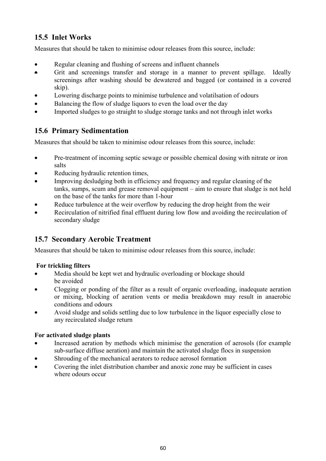## **15.5 Inlet Works**

Measures that should be taken to minimise odour releases from this source, include:

- Regular cleaning and flushing of screens and influent channels
- Grit and screenings transfer and storage in a manner to prevent spillage. Ideally screenings after washing should be dewatered and bagged (or contained in a covered skip).
- Lowering discharge points to minimise turbulence and volatilsation of odours
- Balancing the flow of sludge liquors to even the load over the day
- Imported sludges to go straight to sludge storage tanks and not through inlet works

## **15.6 Primary Sedimentation**

Measures that should be taken to minimise odour releases from this source, include:

- Pre-treatment of incoming septic sewage or possible chemical dosing with nitrate or iron salts
- Reducing hydraulic retention times.
- Improving desludging both in efficiency and frequency and regular cleaning of the tanks, sumps, scum and grease removal equipment – aim to ensure that sludge is not held on the base of the tanks for more than 1-hour
- Reduce turbulence at the weir overflow by reducing the drop height from the weir
- Recirculation of nitrified final effluent during low flow and avoiding the recirculation of secondary sludge

## **15.7 Secondary Aerobic Treatment**

Measures that should be taken to minimise odour releases from this source, include:

#### **For trickling filters**

- Media should be kept wet and hydraulic overloading or blockage should be avoided
- Clogging or ponding of the filter as a result of organic overloading, inadequate aeration or mixing, blocking of aeration vents or media breakdown may result in anaerobic conditions and odours
- Avoid sludge and solids settling due to low turbulence in the liquor especially close to any recirculated sludge return

#### **For activated sludge plants**

- Increased aeration by methods which minimise the generation of aerosols (for example sub-surface diffuse aeration) and maintain the activated sludge flocs in suspension
- Shrouding of the mechanical aerators to reduce aerosol formation
- Covering the inlet distribution chamber and anoxic zone may be sufficient in cases where odours occur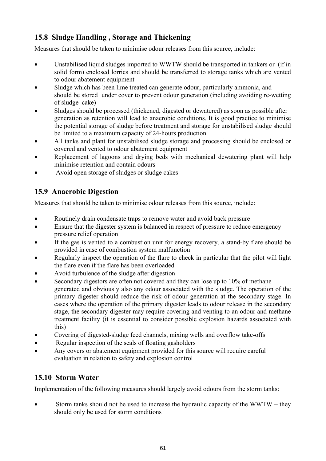## **15.8 Sludge Handling , Storage and Thickening**

Measures that should be taken to minimise odour releases from this source, include:

- Unstabilised liquid sludges imported to WWTW should be transported in tankers or (if in solid form) enclosed lorries and should be transferred to storage tanks which are vented to odour abatement equipment
- Sludge which has been lime treated can generate odour, particularly ammonia, and should be stored under cover to prevent odour generation (including avoiding re-wetting of sludge cake)
- Sludges should be processed (thickened, digested or dewatered) as soon as possible after generation as retention will lead to anaerobic conditions. It is good practice to minimise the potential storage of sludge before treatment and storage for unstabilised sludge should be limited to a maximum capacity of 24-hours production
- All tanks and plant for unstabilised sludge storage and processing should be enclosed or covered and vented to odour abatement equipment
- Replacement of lagoons and drying beds with mechanical dewatering plant will help minimise retention and contain odours
- Avoid open storage of sludges or sludge cakes

## **15.9 Anaerobic Digestion**

Measures that should be taken to minimise odour releases from this source, include:

- Routinely drain condensate traps to remove water and avoid back pressure
- Ensure that the digester system is balanced in respect of pressure to reduce emergency pressure relief operation
- If the gas is vented to a combustion unit for energy recovery, a stand-by flare should be provided in case of combustion system malfunction
- Regularly inspect the operation of the flare to check in particular that the pilot will light the flare even if the flare has been overloaded
- Avoid turbulence of the sludge after digestion
- Secondary digestors are often not covered and they can lose up to 10% of methane generated and obviously also any odour associated with the sludge. The operation of the primary digester should reduce the risk of odour generation at the secondary stage. In cases where the operation of the primary digester leads to odour release in the secondary stage, the secondary digester may require covering and venting to an odour and methane treatment facility (it is essential to consider possible explosion hazards associated with this)
- Covering of digested-sludge feed channels, mixing wells and overflow take-offs
- Regular inspection of the seals of floating gasholders
- Any covers or abatement equipment provided for this source will require careful evaluation in relation to safety and explosion control

## **15.10 Storm Water**

Implementation of the following measures should largely avoid odours from the storm tanks:

Storm tanks should not be used to increase the hydraulic capacity of the  $WWTW -$  they should only be used for storm conditions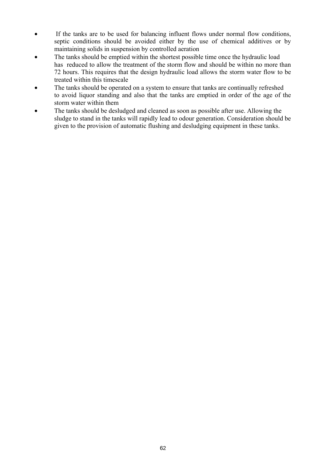- If the tanks are to be used for balancing influent flows under normal flow conditions, septic conditions should be avoided either by the use of chemical additives or by maintaining solids in suspension by controlled aeration
- The tanks should be emptied within the shortest possible time once the hydraulic load has reduced to allow the treatment of the storm flow and should be within no more than 72 hours. This requires that the design hydraulic load allows the storm water flow to be treated within this timescale
- The tanks should be operated on a system to ensure that tanks are continually refreshed to avoid liquor standing and also that the tanks are emptied in order of the age of the storm water within them
- The tanks should be desludged and cleaned as soon as possible after use. Allowing the sludge to stand in the tanks will rapidly lead to odour generation. Consideration should be given to the provision of automatic flushing and desludging equipment in these tanks.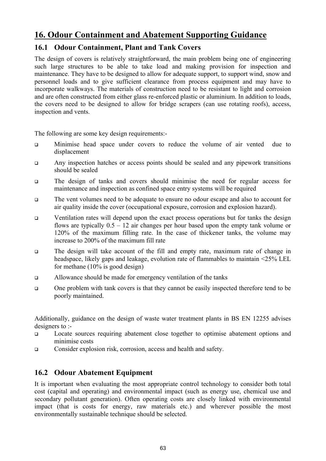# **16. Odour Containment and Abatement Supporting Guidance**

# **16.1 Odour Containment, Plant and Tank Covers**

The design of covers is relatively straightforward, the main problem being one of engineering such large structures to be able to take load and making provision for inspection and maintenance. They have to be designed to allow for adequate support, to support wind, snow and personnel loads and to give sufficient clearance from process equipment and may have to incorporate walkways. The materials of construction need to be resistant to light and corrosion and are often constructed from either glass re-enforced plastic or aluminium. In addition to loads, the covers need to be designed to allow for bridge scrapers (can use rotating roofs), access, inspection and vents.

The following are some key design requirements:-

- Minimise head space under covers to reduce the volume of air vented due to displacement
- Any inspection hatches or access points should be sealed and any pipework transitions should be sealed
- The design of tanks and covers should minimise the need for regular access for maintenance and inspection as confined space entry systems will be required
- The vent volumes need to be adequate to ensure no odour escape and also to account for air quality inside the cover (occupational exposure, corrosion and explosion hazard).
- Ventilation rates will depend upon the exact process operations but for tanks the design flows are typically  $0.5 - 12$  air changes per hour based upon the empty tank volume or 120% of the maximum filling rate. In the case of thickener tanks, the volume may increase to 200% of the maximum fill rate
- The design will take account of the fill and empty rate, maximum rate of change in headspace, likely gaps and leakage, evolution rate of flammables to maintain <25% LEL for methane (10% is good design)
- Allowance should be made for emergency ventilation of the tanks
- One problem with tank covers is that they cannot be easily inspected therefore tend to be poorly maintained.

Additionally, guidance on the design of waste water treatment plants in BS EN 12255 advises designers to :-

- □ Locate sources requiring abatement close together to optimise abatement options and minimise costs
- Consider explosion risk, corrosion, access and health and safety.

# **16.2 Odour Abatement Equipment**

It is important when evaluating the most appropriate control technology to consider both total cost (capital and operating) and environmental impact (such as energy use, chemical use and secondary pollutant generation). Often operating costs are closely linked with environmental impact (that is costs for energy, raw materials etc.) and wherever possible the most environmentally sustainable technique should be selected.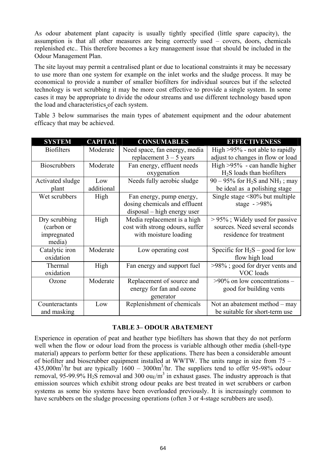As odour abatement plant capacity is usually tightly specified (little spare capacity), the assumption is that all other measures are being correctly used – covers, doors, chemicals replenished etc.. This therefore becomes a key management issue that should be included in the Odour Management Plan.

The site layout may permit a centralised plant or due to locational constraints it may be necessary to use more than one system for example on the inlet works and the sludge process. It may be economical to provide a number of smaller biofilters for individual sources but if the selected technology is wet scrubbing it may be more cost effective to provide a single system. In some cases it may be appropriate to divide the odour streams and use different technology based upon the load and characteristics of each system.

Table 3 below summarises the main types of abatement equipment and the odour abatement efficacy that may be achieved.

| <b>SYSTEM</b>       | <b>CAPITAL</b> | <b>CONSUMABLES</b>              | <b>EFFECTIVENESS</b>                                       |  |
|---------------------|----------------|---------------------------------|------------------------------------------------------------|--|
| <b>Biofilters</b>   | Moderate       | Need space, fan energy, media   | High $>95\%$ - not able to rapidly                         |  |
|                     |                | replacement $3 - 5$ years       | adjust to changes in flow or load                          |  |
| <b>Bioscrubbers</b> | Moderate       | Fan energy, effluent needs      | High $>95\%$ - can handle higher                           |  |
|                     |                | oxygenation                     | $H2S$ loads than biofilters                                |  |
| Activated sludge    | Low            | Needs fully aerobic sludge      | $90 - 95\%$ for H <sub>2</sub> S and NH <sub>3</sub> ; may |  |
| plant               | additional     |                                 | be ideal as a polishing stage                              |  |
| Wet scrubbers       | High           | Fan energy, pump energy,        | Single stage $\leq 80\%$ but multiple                      |  |
|                     |                | dosing chemicals and effluent   | stage $-$ >98%                                             |  |
|                     |                | disposal – high energy user     |                                                            |  |
| Dry scrubbing       | High           | Media replacement is a high     | $> 95\%$ ; Widely used for passive                         |  |
| (carbon or          |                | cost with strong odours, suffer | sources. Need several seconds                              |  |
| impregnated         |                | with moisture loading           | residence for treatment                                    |  |
| media)              |                |                                 |                                                            |  |
| Catalytic iron      | Moderate       | Low operating cost              | Specific for $H_2S$ – good for low                         |  |
| oxidation           |                |                                 | flow high load                                             |  |
| Thermal             | High           | Fan energy and support fuel     | >98%; good for dryer vents and                             |  |
| oxidation           |                |                                 | VOC loads                                                  |  |
| Ozone               | Moderate       | Replacement of source and       | $>90\%$ on low concentrations –                            |  |
|                     |                | energy for fan and ozone        | good for building vents                                    |  |
|                     |                | generator                       |                                                            |  |
| Counteractants      | Low            | Replenishment of chemicals      | Not an abatement method $-$ may                            |  |
| and masking         |                |                                 | be suitable for short-term use                             |  |

#### **TABLE 3– ODOUR ABATEMENT**

Experience in operation of peat and heather type biofilters has shown that they do not perform well when the flow or odour load from the process is variable although other media (shell-type material) appears to perform better for these applications. There has been a considerable amount of biofilter and bioscrubber equipment installed at WWTW. The units range in size from 75 –  $435,000\,\text{m}^3/\text{hr}$  but are typically  $1600 - 3000\,\text{m}^3/\text{hr}$ . The suppliers tend to offer 95-98% odour removal, 95-99.9%  $H_2S$  removal and 300  $ouE/m^3$  in exhaust gases. The industry approach is that emission sources which exhibit strong odour peaks are best treated in wet scrubbers or carbon systems as some bio systems have been overloaded previously. It is increasingly common to have scrubbers on the sludge processing operations (often 3 or 4-stage scrubbers are used).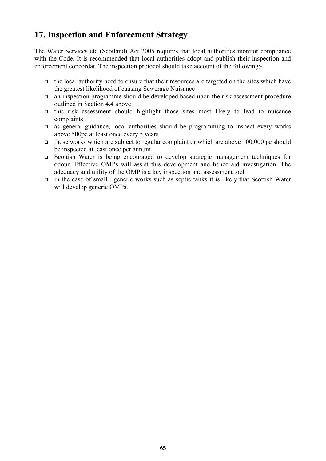# **17. Inspection and Enforcement Strategy**

The Water Services etc (Scotland) Act 2005 requires that local authorities monitor compliance with the Code. It is recommended that local authorities adopt and publish their inspection and enforcement concordat. The inspection protocol should take account of the following:-

- $\Box$  the local authority need to ensure that their resources are targeted on the sites which have the greatest likelihood of causing Sewerage Nuisance
- an inspection programme should be developed based upon the risk assessment procedure outlined in Section 4.4 above
- $\Box$  this risk assessment should highlight those sites most likely to lead to nuisance complaints
- $\Box$  as general guidance, local authorities should be programming to inspect every works above 500pe at least once every 5 years
- $\Box$  those works which are subject to regular complaint or which are above 100,000 pe should be inspected at least once per annum
- Scottish Water is being encouraged to develop strategic management techniques for odour. Effective OMPs will assist this development and hence aid investigation. The adequacy and utility of the OMP is a key inspection and assessment tool
- $\Box$  in the case of small, generic works such as septic tanks it is likely that Scottish Water will develop generic OMPs.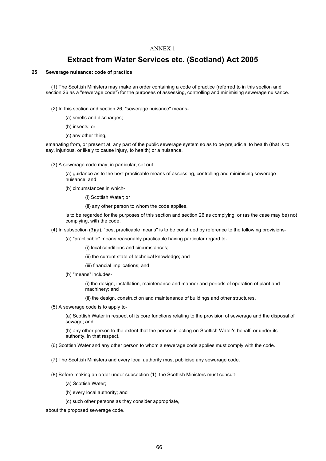### **Extract from Water Services etc. (Scotland) Act 2005**

#### **25 Sewerage nuisance: code of practice**

(1) The Scottish Ministers may make an order containing a code of practice (referred to in this section and section 26 as a "sewerage code") for the purposes of assessing, controlling and minimising sewerage nuisance.

- (2) In this section and section 26, "sewerage nuisance" means-
	- (a) smells and discharges;
	- (b) insects; or
	- (c) any other thing,

emanating from, or present at, any part of the public sewerage system so as to be prejudicial to health (that is to say, injurious, or likely to cause injury, to health) or a nuisance.

- (3) A sewerage code may, in particular, set out-
	- (a) guidance as to the best practicable means of assessing, controlling and minimising sewerage nuisance; and
	- (b) circumstances in which-
		- (i) Scottish Water; or

(ii) any other person to whom the code applies,

is to be regarded for the purposes of this section and section 26 as complying, or (as the case may be) not complying, with the code.

(4) In subsection (3)(a), "best practicable means" is to be construed by reference to the following provisions-

(a) "practicable" means reasonably practicable having particular regard to-

- (i) local conditions and circumstances;
- (ii) the current state of technical knowledge; and
- (iii) financial implications; and
- (b) "means" includes-

(i) the design, installation, maintenance and manner and periods of operation of plant and machinery; and

(ii) the design, construction and maintenance of buildings and other structures.

(5) A sewerage code is to apply to-

(a) Scottish Water in respect of its core functions relating to the provision of sewerage and the disposal of sewage; and

(b) any other person to the extent that the person is acting on Scottish Water's behalf, or under its authority, in that respect.

- (6) Scottish Water and any other person to whom a sewerage code applies must comply with the code.
- (7) The Scottish Ministers and every local authority must publicise any sewerage code.
- (8) Before making an order under subsection (1), the Scottish Ministers must consult-
	- (a) Scottish Water;
	- (b) every local authority; and
	- (c) such other persons as they consider appropriate,

about the proposed sewerage code.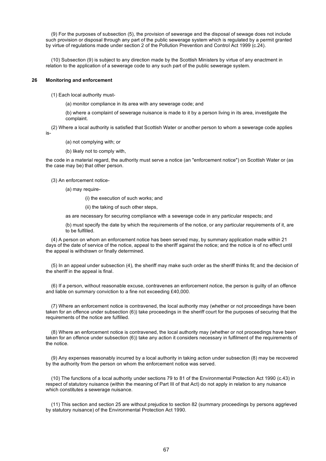(9) For the purposes of subsection (5), the provision of sewerage and the disposal of sewage does not include such provision or disposal through any part of the public sewerage system which is regulated by a permit granted by virtue of regulations made under section 2 of the Pollution Prevention and Control Act 1999 (c.24).

(10) Subsection (9) is subject to any direction made by the Scottish Ministers by virtue of any enactment in relation to the application of a sewerage code to any such part of the public sewerage system.

#### **26 Monitoring and enforcement**

(1) Each local authority must-

(a) monitor compliance in its area with any sewerage code; and

(b) where a complaint of sewerage nuisance is made to it by a person living in its area, investigate the complaint.

(2) Where a local authority is satisfied that Scottish Water or another person to whom a sewerage code applies is-

(a) not complying with; or

(b) likely not to comply with,

the code in a material regard, the authority must serve a notice (an "enforcement notice") on Scottish Water or (as the case may be) that other person.

(3) An enforcement notice-

(a) may require-

(i) the execution of such works; and

(ii) the taking of such other steps,

as are necessary for securing compliance with a sewerage code in any particular respects; and

(b) must specify the date by which the requirements of the notice, or any particular requirements of it, are to be fulfilled.

(4) A person on whom an enforcement notice has been served may, by summary application made within 21 days of the date of service of the notice, appeal to the sheriff against the notice; and the notice is of no effect until the appeal is withdrawn or finally determined.

(5) In an appeal under subsection (4), the sheriff may make such order as the sheriff thinks fit; and the decision of the sheriff in the appeal is final.

(6) If a person, without reasonable excuse, contravenes an enforcement notice, the person is guilty of an offence and liable on summary conviction to a fine not exceeding £40,000.

(7) Where an enforcement notice is contravened, the local authority may (whether or not proceedings have been taken for an offence under subsection (6)) take proceedings in the sheriff court for the purposes of securing that the requirements of the notice are fulfilled.

(8) Where an enforcement notice is contravened, the local authority may (whether or not proceedings have been taken for an offence under subsection (6)) take any action it considers necessary in fulfilment of the requirements of the notice.

(9) Any expenses reasonably incurred by a local authority in taking action under subsection (8) may be recovered by the authority from the person on whom the enforcement notice was served.

(10) The functions of a local authority under sections 79 to 81 of the Environmental Protection Act 1990 (c.43) in respect of statutory nuisance (within the meaning of Part III of that Act) do not apply in relation to any nuisance which constitutes a sewerage nuisance.

(11) This section and section 25 are without prejudice to section 82 (summary proceedings by persons aggrieved by statutory nuisance) of the Environmental Protection Act 1990.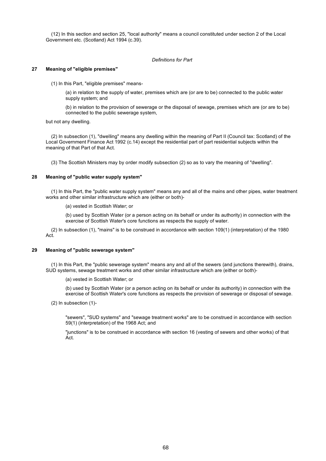(12) In this section and section 25, "local authority" means a council constituted under section 2 of the Local Government etc. (Scotland) Act 1994 (c.39).

#### *Definitions for Part*

#### **27 Meaning of "eligible premises"**

(1) In this Part, "eligible premises" means-

(a) in relation to the supply of water, premises which are (or are to be) connected to the public water supply system; and

(b) in relation to the provision of sewerage or the disposal of sewage, premises which are (or are to be) connected to the public sewerage system,

but not any dwelling.

(2) In subsection (1), "dwelling" means any dwelling within the meaning of Part II (Council tax: Scotland) of the Local Government Finance Act 1992 (c.14) except the residential part of part residential subjects within the meaning of that Part of that Act.

(3) The Scottish Ministers may by order modify subsection (2) so as to vary the meaning of "dwelling".

#### **28 Meaning of "public water supply system"**

(1) In this Part, the "public water supply system" means any and all of the mains and other pipes, water treatment works and other similar infrastructure which are (either or both)-

(a) vested in Scottish Water; or

(b) used by Scottish Water (or a person acting on its behalf or under its authority) in connection with the exercise of Scottish Water's core functions as respects the supply of water.

(2) In subsection (1), "mains" is to be construed in accordance with section 109(1) (interpretation) of the 1980 Act.

#### **29 Meaning of "public sewerage system"**

(1) In this Part, the "public sewerage system" means any and all of the sewers (and junctions therewith), drains, SUD systems, sewage treatment works and other similar infrastructure which are (either or both)-

(a) vested in Scottish Water; or

(b) used by Scottish Water (or a person acting on its behalf or under its authority) in connection with the exercise of Scottish Water's core functions as respects the provision of sewerage or disposal of sewage.

(2) In subsection (1)-

"sewers", "SUD systems" and "sewage treatment works" are to be construed in accordance with section 59(1) (interpretation) of the 1968 Act; and

"junctions" is to be construed in accordance with section 16 (vesting of sewers and other works) of that Act.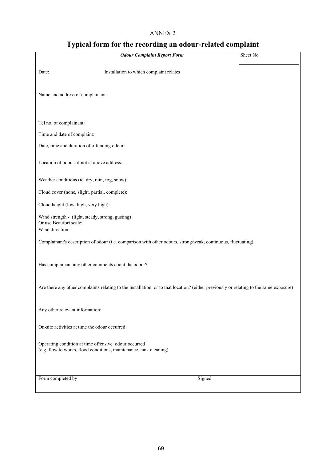# **Typical form for the recording an odour-related complaint**

| <b>Odour Complaint Report Form</b>                                                                                                     | Sheet No |
|----------------------------------------------------------------------------------------------------------------------------------------|----------|
| Installation to which complaint relates<br>Date:                                                                                       |          |
| Name and address of complainant:                                                                                                       |          |
| Tel no. of complainant:                                                                                                                |          |
| Time and date of complaint:                                                                                                            |          |
| Date, time and duration of offending odour:                                                                                            |          |
| Location of odour, if not at above address:                                                                                            |          |
| Weather conditions (ie, dry, rain, fog, snow):                                                                                         |          |
| Cloud cover (none, slight, partial, complete):                                                                                         |          |
| Cloud height (low, high, very high):                                                                                                   |          |
| Wind strength - (light, steady, strong, gusting)<br>Or use Beaufort scale:<br>Wind direction:                                          |          |
| Complainant's description of odour (i.e. comparison with other odours, strong/weak, continuous, fluctuating):                          |          |
| Has complainant any other comments about the odour?                                                                                    |          |
| Are there any other complaints relating to the installation, or to that location? (either previously or relating to the same exposure) |          |
| Any other relevant information:                                                                                                        |          |
| On-site activities at time the odour occurred:                                                                                         |          |
| Operating condition at time offensive odour occurred<br>(e.g. flow to works, flood conditions, maintenance, tank cleaning)             |          |
| Form completed by<br>Signed                                                                                                            |          |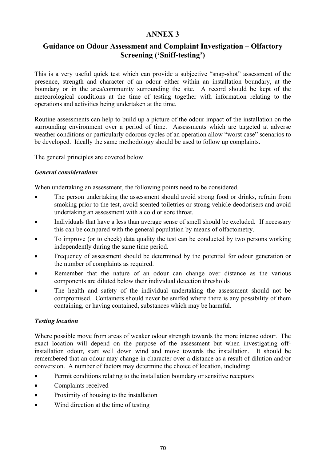# **Guidance on Odour Assessment and Complaint Investigation – Olfactory Screening ('Sniff-testing')**

This is a very useful quick test which can provide a subjective "snap-shot" assessment of the presence, strength and character of an odour either within an installation boundary, at the boundary or in the area/community surrounding the site. A record should be kept of the meteorological conditions at the time of testing together with information relating to the operations and activities being undertaken at the time.

Routine assessments can help to build up a picture of the odour impact of the installation on the surrounding environment over a period of time. Assessments which are targeted at adverse weather conditions or particularly odorous cycles of an operation allow "worst case" scenarios to be developed. Ideally the same methodology should be used to follow up complaints.

The general principles are covered below.

### *General considerations*

When undertaking an assessment, the following points need to be considered.

- The person undertaking the assessment should avoid strong food or drinks, refrain from smoking prior to the test, avoid scented toiletries or strong vehicle deodorisers and avoid undertaking an assessment with a cold or sore throat.
- Individuals that have a less than average sense of smell should be excluded. If necessary this can be compared with the general population by means of olfactometry.
- To improve (or to check) data quality the test can be conducted by two persons working independently during the same time period.
- Frequency of assessment should be determined by the potential for odour generation or the number of complaints as required.
- Remember that the nature of an odour can change over distance as the various components are diluted below their individual detection thresholds
- The health and safety of the individual undertaking the assessment should not be compromised. Containers should never be sniffed where there is any possibility of them containing, or having contained, substances which may be harmful.

### *Testing location*

Where possible move from areas of weaker odour strength towards the more intense odour. The exact location will depend on the purpose of the assessment but when investigating offinstallation odour, start well down wind and move towards the installation. It should be remembered that an odour may change in character over a distance as a result of dilution and/or conversion. A number of factors may determine the choice of location, including:

- Permit conditions relating to the installation boundary or sensitive receptors
- Complaints received
- Proximity of housing to the installation
- Wind direction at the time of testing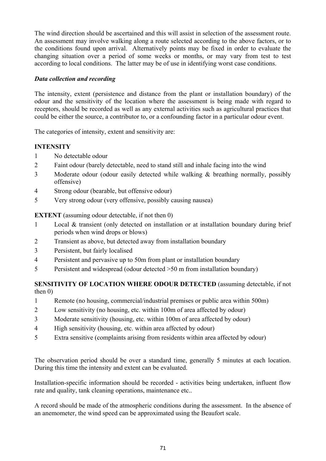The wind direction should be ascertained and this will assist in selection of the assessment route. An assessment may involve walking along a route selected according to the above factors, or to the conditions found upon arrival. Alternatively points may be fixed in order to evaluate the changing situation over a period of some weeks or months, or may vary from test to test according to local conditions. The latter may be of use in identifying worst case conditions.

## *Data collection and recording*

The intensity, extent (persistence and distance from the plant or installation boundary) of the odour and the sensitivity of the location where the assessment is being made with regard to receptors, should be recorded as well as any external activities such as agricultural practices that could be either the source, a contributor to, or a confounding factor in a particular odour event.

The categories of intensity, extent and sensitivity are:

## **INTENSITY**

- 1 No detectable odour
- 2 Faint odour (barely detectable, need to stand still and inhale facing into the wind
- 3 Moderate odour (odour easily detected while walking & breathing normally, possibly offensive)
- 4 Strong odour (bearable, but offensive odour)
- 5 Very strong odour (very offensive, possibly causing nausea)

**EXTENT** (assuming odour detectable, if not then 0)

- 1 Local & transient (only detected on installation or at installation boundary during brief periods when wind drops or blows)
- 2 Transient as above, but detected away from installation boundary
- 3 Persistent, but fairly localised
- 4 Persistent and pervasive up to 50m from plant or installation boundary
- 5 Persistent and widespread (odour detected >50 m from installation boundary)

#### **SENSITIVITY OF LOCATION WHERE ODOUR DETECTED** (assuming detectable, if not then 0)

- 1 Remote (no housing, commercial/industrial premises or public area within 500m)
- 2 Low sensitivity (no housing, etc. within 100m of area affected by odour)
- 3 Moderate sensitivity (housing, etc. within 100m of area affected by odour)
- 4 High sensitivity (housing, etc. within area affected by odour)
- 5 Extra sensitive (complaints arising from residents within area affected by odour)

The observation period should be over a standard time, generally 5 minutes at each location. During this time the intensity and extent can be evaluated.

Installation-specific information should be recorded - activities being undertaken, influent flow rate and quality, tank cleaning operations, maintenance etc..

A record should be made of the atmospheric conditions during the assessment. In the absence of an anemometer, the wind speed can be approximated using the Beaufort scale.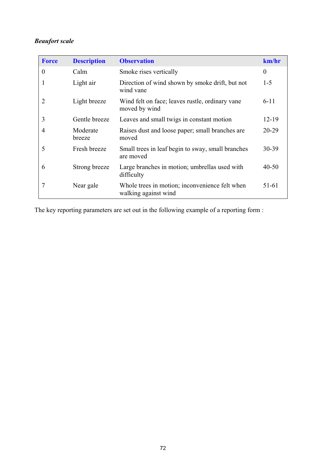# *Beaufort scale*

| <b>Force</b>   | <b>Description</b> | <b>Observation</b>                                                     | km/hr     |
|----------------|--------------------|------------------------------------------------------------------------|-----------|
| $\theta$       | Calm               | Smoke rises vertically                                                 | $\theta$  |
|                | Light air          | Direction of wind shown by smoke drift, but not<br>wind vane           | $1 - 5$   |
| $\overline{2}$ | Light breeze       | Wind felt on face; leaves rustle, ordinary vane<br>moved by wind       | $6 - 11$  |
| 3              | Gentle breeze      | Leaves and small twigs in constant motion                              | 12-19     |
| $\overline{4}$ | Moderate<br>breeze | Raises dust and loose paper; small branches are<br>moved               | 20-29     |
| 5              | Fresh breeze       | Small trees in leaf begin to sway, small branches<br>are moved         | 30-39     |
| 6              | Strong breeze      | Large branches in motion; umbrellas used with<br>difficulty            | $40 - 50$ |
| 7              | Near gale          | Whole trees in motion; inconvenience felt when<br>walking against wind | 51-61     |

The key reporting parameters are set out in the following example of a reporting form :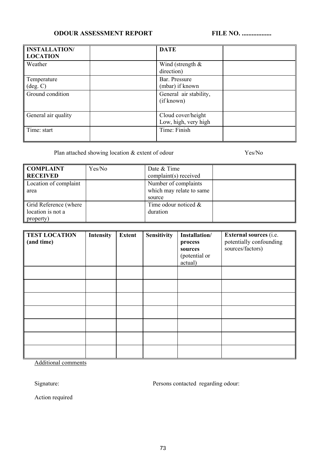## **ODOUR ASSESSMENT REPORT FILE NO. ..................**

| <b>INSTALLATION/</b><br><b>LOCATION</b> | <b>DATE</b>                                |
|-----------------------------------------|--------------------------------------------|
| Weather                                 | Wind (strength $\&$<br>direction)          |
| Temperature<br>$(\text{deg. C})$        | Bar. Pressure<br>(mbar) if known           |
| Ground condition                        | General air stability,<br>(if known)       |
| General air quality                     | Cloud cover/height<br>Low, high, very high |
| Time: start                             | Time: Finish                               |

Plan attached showing location & extent of odour Yes/No

| <b>COMPLAINT</b>      | Yes/No | Date & Time              |  |
|-----------------------|--------|--------------------------|--|
| <b>RECEIVED</b>       |        | complaint(s) received    |  |
| Location of complaint |        | Number of complaints     |  |
| area                  |        | which may relate to same |  |
|                       |        | source                   |  |
| Grid Reference (where |        | Time odour noticed $\&$  |  |
| location is not a     |        | duration                 |  |
| property)             |        |                          |  |

| <b>TEST LOCATION</b><br>(and time) | <b>Intensity</b> | <b>Extent</b> | <b>Sensitivity</b> | Installation/<br>process<br>sources<br>(potential or<br>actual) | <b>External sources</b> (i.e.<br>potentially confounding<br>sources/factors) |
|------------------------------------|------------------|---------------|--------------------|-----------------------------------------------------------------|------------------------------------------------------------------------------|
|                                    |                  |               |                    |                                                                 |                                                                              |
|                                    |                  |               |                    |                                                                 |                                                                              |
|                                    |                  |               |                    |                                                                 |                                                                              |
|                                    |                  |               |                    |                                                                 |                                                                              |
|                                    |                  |               |                    |                                                                 |                                                                              |
|                                    |                  |               |                    |                                                                 |                                                                              |
|                                    |                  |               |                    |                                                                 |                                                                              |

Additional comments

Signature: Persons contacted regarding odour:

Action required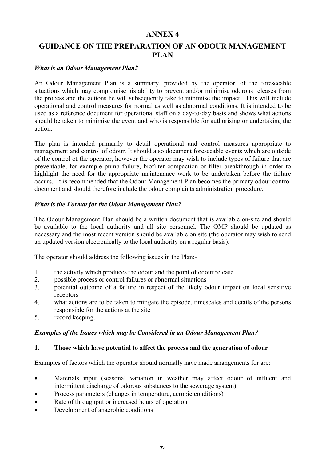# **GUIDANCE ON THE PREPARATION OF AN ODOUR MANAGEMENT PLAN**

#### *What is an Odour Management Plan?*

An Odour Management Plan is a summary, provided by the operator, of the foreseeable situations which may compromise his ability to prevent and/or minimise odorous releases from the process and the actions he will subsequently take to minimise the impact. This will include operational and control measures for normal as well as abnormal conditions. It is intended to be used as a reference document for operational staff on a day-to-day basis and shows what actions should be taken to minimise the event and who is responsible for authorising or undertaking the action.

The plan is intended primarily to detail operational and control measures appropriate to management and control of odour. It should also document foreseeable events which are outside of the control of the operator, however the operator may wish to include types of failure that are preventable, for example pump failure, biofilter compaction or filter breakthrough in order to highlight the need for the appropriate maintenance work to be undertaken before the failure occurs. It is recommended that the Odour Management Plan becomes the primary odour control document and should therefore include the odour complaints administration procedure.

#### *What is the Format for the Odour Management Plan?*

The Odour Management Plan should be a written document that is available on-site and should be available to the local authority and all site personnel. The OMP should be updated as necessary and the most recent version should be available on site (the operator may wish to send an updated version electronically to the local authority on a regular basis).

The operator should address the following issues in the Plan:-

- 1. the activity which produces the odour and the point of odour release
- 2. possible process or control failures or abnormal situations
- 3. potential outcome of a failure in respect of the likely odour impact on local sensitive receptors
- 4. what actions are to be taken to mitigate the episode, timescales and details of the persons responsible for the actions at the site
- 5. record keeping.

### *Examples of the Issues which may be Considered in an Odour Management Plan?*

### **1. Those which have potential to affect the process and the generation of odour**

Examples of factors which the operator should normally have made arrangements for are:

- Materials input (seasonal variation in weather may affect odour of influent and intermittent discharge of odorous substances to the sewerage system)
- Process parameters (changes in temperature, aerobic conditions)
- Rate of throughput or increased hours of operation
- Development of anaerobic conditions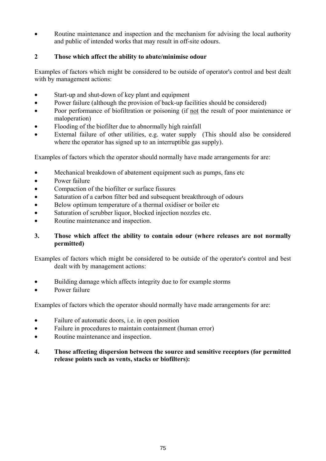Routine maintenance and inspection and the mechanism for advising the local authority and public of intended works that may result in off-site odours.

## **2 Those which affect the ability to abate/minimise odour**

Examples of factors which might be considered to be outside of operator's control and best dealt with by management actions:

- Start-up and shut-down of key plant and equipment
- Power failure (although the provision of back-up facilities should be considered)
- Poor performance of biofiltration or poisoning (if not the result of poor maintenance or maloperation)
- Flooding of the biofilter due to abnormally high rainfall
- External failure of other utilities, e.g. water supply (This should also be considered where the operator has signed up to an interruptible gas supply).

Examples of factors which the operator should normally have made arrangements for are:

- Mechanical breakdown of abatement equipment such as pumps, fans etc
- Power failure
- Compaction of the biofilter or surface fissures
- Saturation of a carbon filter bed and subsequent breakthrough of odours
- Below optimum temperature of a thermal oxidiser or boiler etc
- Saturation of scrubber liquor, blocked injection nozzles etc.
- Routine maintenance and inspection.

## **3. Those which affect the ability to contain odour (where releases are not normally permitted)**

Examples of factors which might be considered to be outside of the operator's control and best dealt with by management actions:

- Building damage which affects integrity due to for example storms
- Power failure

Examples of factors which the operator should normally have made arrangements for are:

- Failure of automatic doors, i.e. in open position
- Failure in procedures to maintain containment (human error)
- Routine maintenance and inspection.

### **4. Those affecting dispersion between the source and sensitive receptors (for permitted release points such as vents, stacks or biofilters):**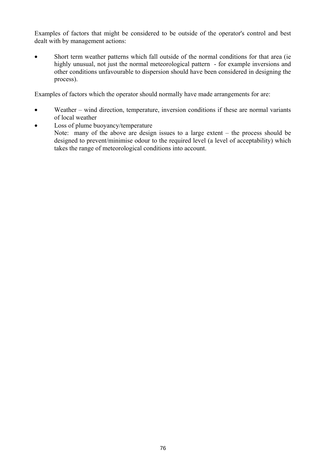Examples of factors that might be considered to be outside of the operator's control and best dealt with by management actions:

• Short term weather patterns which fall outside of the normal conditions for that area (ie highly unusual, not just the normal meteorological pattern - for example inversions and other conditions unfavourable to dispersion should have been considered in designing the process).

Examples of factors which the operator should normally have made arrangements for are:

- Weather wind direction, temperature, inversion conditions if these are normal variants of local weather
- Loss of plume buoyancy/temperature Note: many of the above are design issues to a large extent – the process should be designed to prevent/minimise odour to the required level (a level of acceptability) which takes the range of meteorological conditions into account.